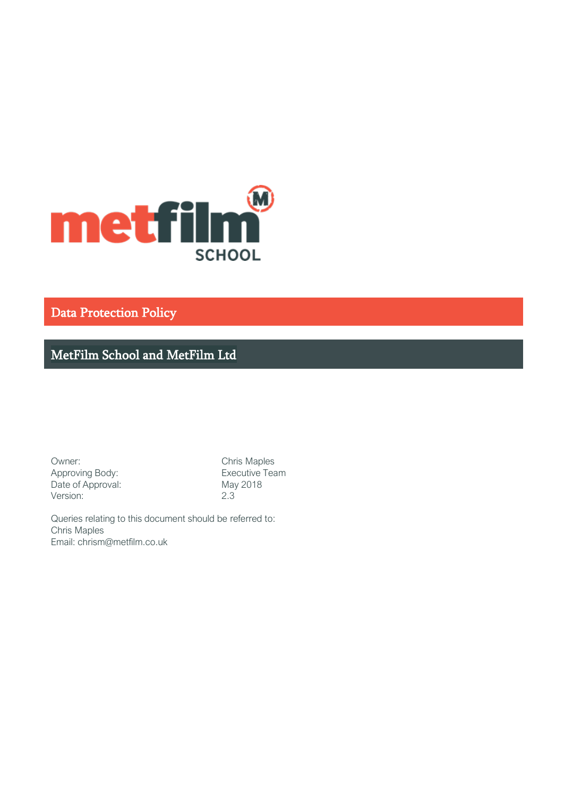

Data Protection Policy

MetFilm School and MetFilm Ltd

Owner: Chris Maples Approving Body: Executive Team Date of Approval: May 2018<br>
Version: 2.3 Version:

Queries relating to this document should be referred to: Chris Maples Email: chrism@metfilm.co.uk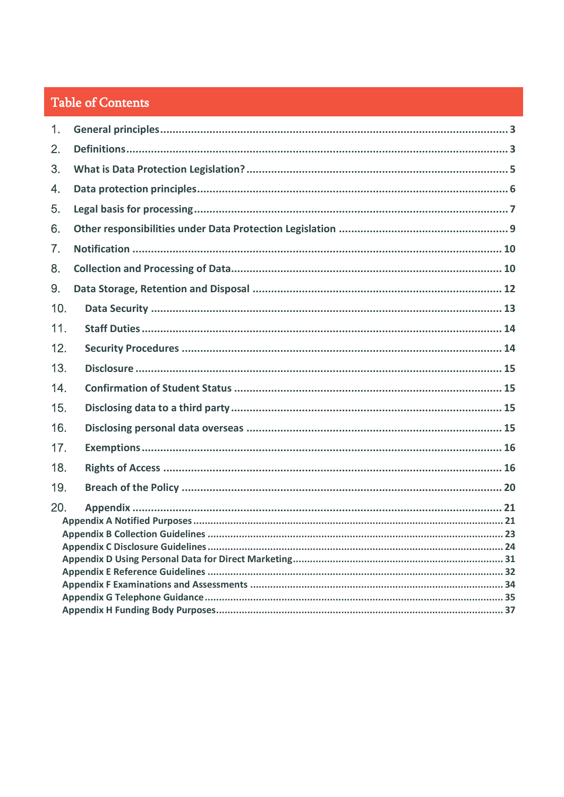# Table of Contents

| 1.  |  |
|-----|--|
| 2.  |  |
| 3.  |  |
| 4.  |  |
| 5.  |  |
| 6.  |  |
| 7.  |  |
| 8.  |  |
| 9.  |  |
| 10. |  |
| 11. |  |
| 12. |  |
| 13. |  |
| 14. |  |
| 15. |  |
| 16. |  |
| 17. |  |
| 18. |  |
| 19. |  |
| 20. |  |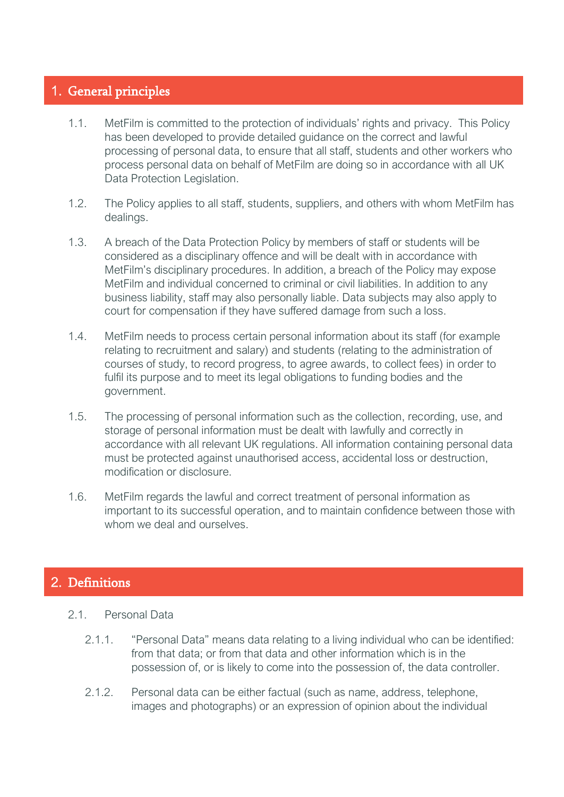# <span id="page-2-0"></span>1. General principles

- 1.1. MetFilm is committed to the protection of individuals' rights and privacy. This Policy has been developed to provide detailed guidance on the correct and lawful processing of personal data, to ensure that all staff, students and other workers who process personal data on behalf of MetFilm are doing so in accordance with all UK Data Protection Legislation.
- 1.2. The Policy applies to all staff, students, suppliers, and others with whom MetFilm has dealings.
- 1.3. A breach of the Data Protection Policy by members of staff or students will be considered as a disciplinary offence and will be dealt with in accordance with MetFilm's disciplinary procedures. In addition, a breach of the Policy may expose MetFilm and individual concerned to criminal or civil liabilities. In addition to any business liability, staff may also personally liable. Data subjects may also apply to court for compensation if they have suffered damage from such a loss.
- 1.4. MetFilm needs to process certain personal information about its staff (for example relating to recruitment and salary) and students (relating to the administration of courses of study, to record progress, to agree awards, to collect fees) in order to fulfil its purpose and to meet its legal obligations to funding bodies and the government.
- 1.5. The processing of personal information such as the collection, recording, use, and storage of personal information must be dealt with lawfully and correctly in accordance with all relevant UK regulations. All information containing personal data must be protected against unauthorised access, accidental loss or destruction, modification or disclosure.
- 1.6. MetFilm regards the lawful and correct treatment of personal information as important to its successful operation, and to maintain confidence between those with whom we deal and ourselves.

# <span id="page-2-1"></span>2. Definitions

- 2.1. Personal Data
	- 2.1.1. "Personal Data" means data relating to a living individual who can be identified: from that data; or from that data and other information which is in the possession of, or is likely to come into the possession of, the data controller.
	- 2.1.2. Personal data can be either factual (such as name, address, telephone, images and photographs) or an expression of opinion about the individual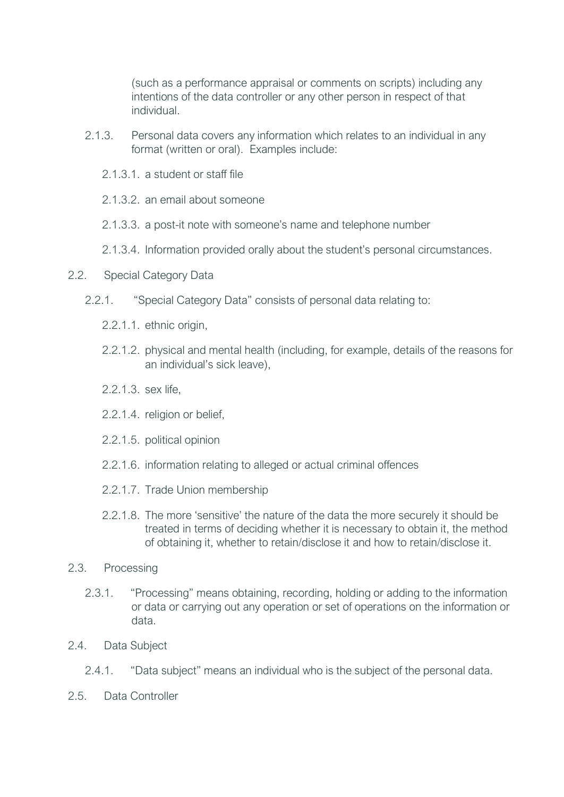(such as a performance appraisal or comments on scripts) including any intentions of the data controller or any other person in respect of that individual.

- 2.1.3. Personal data covers any information which relates to an individual in any format (written or oral). Examples include:
	- 2.1.3.1. a student or staff file
	- 2.1.3.2 an email about someone
	- 2.1.3.3. a post-it note with someone's name and telephone number
	- 2.1.3.4. Information provided orally about the student's personal circumstances.
- 2.2. Special Category Data
	- 2.2.1. "Special Category Data" consists of personal data relating to:
		- 2.2.1.1. ethnic origin,
		- 2.2.1.2. physical and mental health (including, for example, details of the reasons for an individual's sick leave),
		- 2.2.1.3. sex life,
		- 2.2.1.4. religion or belief,
		- 2.2.1.5. political opinion
		- 2.2.1.6. information relating to alleged or actual criminal offences
		- 2.2.1.7. Trade Union membership
		- 2.2.1.8. The more 'sensitive' the nature of the data the more securely it should be treated in terms of deciding whether it is necessary to obtain it, the method of obtaining it, whether to retain/disclose it and how to retain/disclose it.
- 2.3. Processing
	- 2.3.1. "Processing" means obtaining, recording, holding or adding to the information or data or carrying out any operation or set of operations on the information or data.
- 2.4. Data Subject
	- 2.4.1. "Data subject" means an individual who is the subject of the personal data.
- 2.5. Data Controller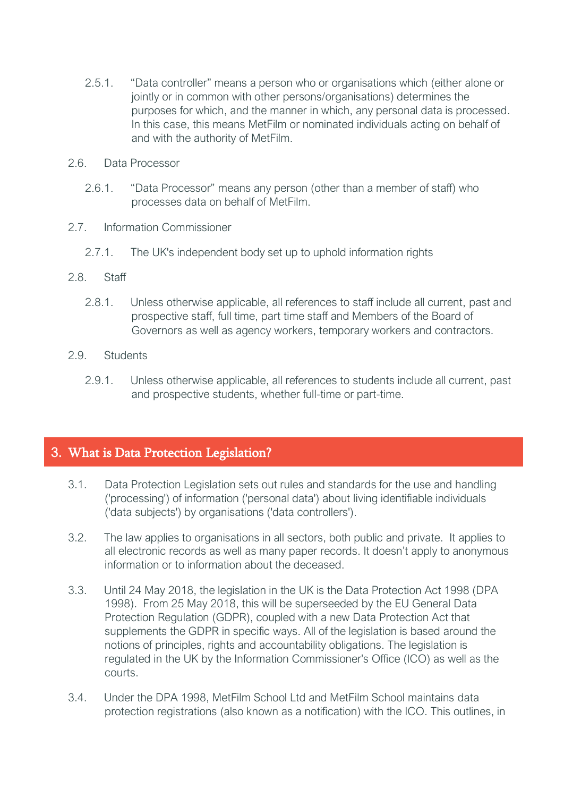- 2.5.1. "Data controller" means a person who or organisations which (either alone or jointly or in common with other persons/organisations) determines the purposes for which, and the manner in which, any personal data is processed. In this case, this means MetFilm or nominated individuals acting on behalf of and with the authority of MetFilm.
- 2.6. Data Processor
	- 2.6.1. "Data Processor" means any person (other than a member of staff) who processes data on behalf of MetFilm.
- 2.7. Information Commissioner
	- 2.7.1. The UK's independent body set up to uphold information rights
- 2.8. Staff
	- 2.8.1. Unless otherwise applicable, all references to staff include all current, past and prospective staff, full time, part time staff and Members of the Board of Governors as well as agency workers, temporary workers and contractors.
- 2.9. Students
	- 2.9.1. Unless otherwise applicable, all references to students include all current, past and prospective students, whether full-time or part-time.

# <span id="page-4-0"></span>3. What is Data Protection Legislation?

- 3.1. Data Protection Legislation sets out rules and standards for the use and handling ('processing') of information ('personal data') about living identifiable individuals ('data subjects') by organisations ('data controllers').
- 3.2. The law applies to organisations in all sectors, both public and private. It applies to all electronic records as well as many paper records. It doesn't apply to anonymous information or to information about the deceased.
- 3.3. Until 24 May 2018, the legislation in the UK is the Data Protection Act 1998 (DPA 1998). From 25 May 2018, this will be superseeded by the EU General Data Protection Regulation (GDPR), coupled with a new Data Protection Act that supplements the GDPR in specific ways. All of the legislation is based around the notions of principles, rights and accountability obligations. The legislation is regulated in the UK by the Information Commissioner's Office (ICO) as well as the courts.
- 3.4. Under the DPA 1998, MetFilm School Ltd and MetFilm School maintains data protection registrations (also known as a notification) with the ICO. This outlines, in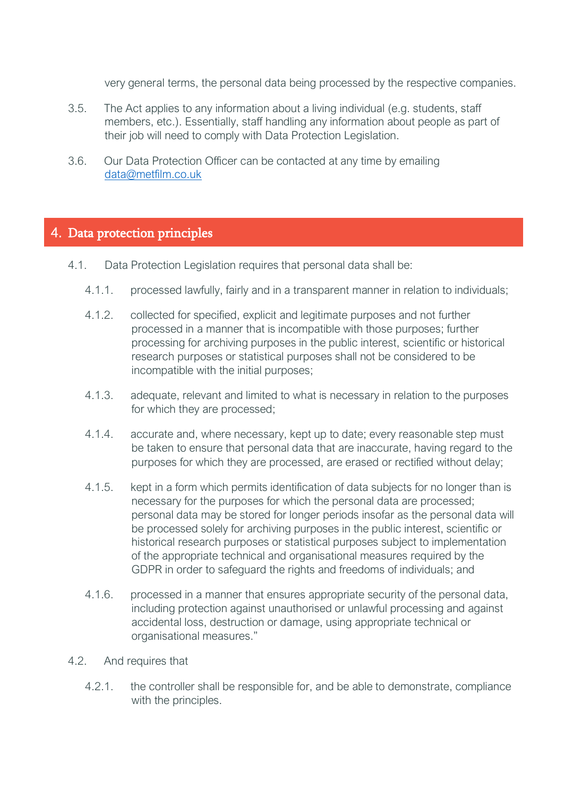very general terms, the personal data being processed by the respective companies.

- 3.5. The Act applies to any information about a living individual (e.g. students, staff members, etc.). Essentially, staff handling any information about people as part of their job will need to comply with Data Protection Legislation.
- 3.6. Our Data Protection Officer can be contacted at any time by emailing [data@metfilm.co.uk](mailto:data@metfilm.co.uk)

# <span id="page-5-0"></span>4. Data protection principles

- 4.1. Data Protection Legislation requires that personal data shall be:
	- 4.1.1. processed lawfully, fairly and in a transparent manner in relation to individuals;
	- 4.1.2. collected for specified, explicit and legitimate purposes and not further processed in a manner that is incompatible with those purposes; further processing for archiving purposes in the public interest, scientific or historical research purposes or statistical purposes shall not be considered to be incompatible with the initial purposes;
	- 4.1.3. adequate, relevant and limited to what is necessary in relation to the purposes for which they are processed;
	- 4.1.4. accurate and, where necessary, kept up to date; every reasonable step must be taken to ensure that personal data that are inaccurate, having regard to the purposes for which they are processed, are erased or rectified without delay;
	- 4.1.5. kept in a form which permits identification of data subjects for no longer than is necessary for the purposes for which the personal data are processed; personal data may be stored for longer periods insofar as the personal data will be processed solely for archiving purposes in the public interest, scientific or historical research purposes or statistical purposes subject to implementation of the appropriate technical and organisational measures required by the GDPR in order to safeguard the rights and freedoms of individuals; and
	- 4.1.6. processed in a manner that ensures appropriate security of the personal data, including protection against unauthorised or unlawful processing and against accidental loss, destruction or damage, using appropriate technical or organisational measures."
- 4.2. And requires that
	- 4.2.1. the controller shall be responsible for, and be able to demonstrate, compliance with the principles.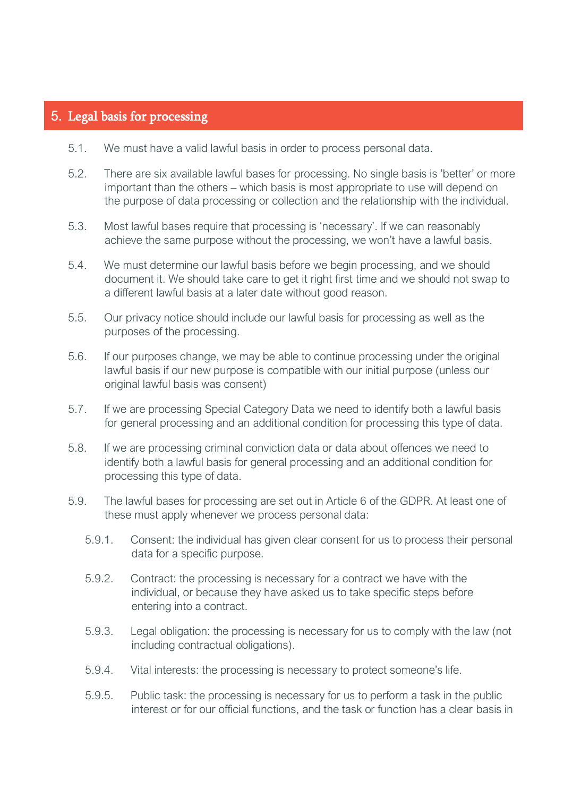# <span id="page-6-0"></span>5. Legal basis for processing

- 5.1. We must have a valid lawful basis in order to process personal data.
- 5.2. There are six available lawful bases for processing. No single basis is 'better' or more important than the others – which basis is most appropriate to use will depend on the purpose of data processing or collection and the relationship with the individual.
- 5.3. Most lawful bases require that processing is 'necessary'. If we can reasonably achieve the same purpose without the processing, we won't have a lawful basis.
- 5.4. We must determine our lawful basis before we begin processing, and we should document it. We should take care to get it right first time and we should not swap to a different lawful basis at a later date without good reason.
- 5.5. Our privacy notice should include our lawful basis for processing as well as the purposes of the processing.
- 5.6. If our purposes change, we may be able to continue processing under the original lawful basis if our new purpose is compatible with our initial purpose (unless our original lawful basis was consent)
- 5.7. If we are processing Special Category Data we need to identify both a lawful basis for general processing and an additional condition for processing this type of data.
- 5.8. If we are processing criminal conviction data or data about offences we need to identify both a lawful basis for general processing and an additional condition for processing this type of data.
- 5.9. The lawful bases for processing are set out in Article 6 of the GDPR. At least one of these must apply whenever we process personal data:
	- 5.9.1. Consent: the individual has given clear consent for us to process their personal data for a specific purpose.
	- 5.9.2. Contract: the processing is necessary for a contract we have with the individual, or because they have asked us to take specific steps before entering into a contract.
	- 5.9.3. Legal obligation: the processing is necessary for us to comply with the law (not including contractual obligations).
	- 5.9.4. Vital interests: the processing is necessary to protect someone's life.
	- 5.9.5. Public task: the processing is necessary for us to perform a task in the public interest or for our official functions, and the task or function has a clear basis in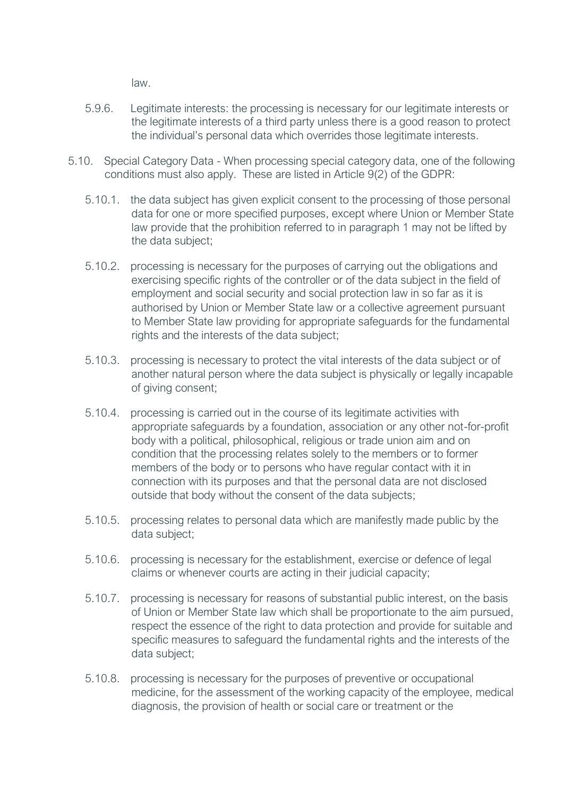law.

- 5.9.6. Legitimate interests: the processing is necessary for our legitimate interests or the legitimate interests of a third party unless there is a good reason to protect the individual's personal data which overrides those legitimate interests.
- 5.10. Special Category Data When processing special category data, one of the following conditions must also apply. These are listed in Article 9(2) of the GDPR:
	- 5.10.1. the data subject has given explicit consent to the processing of those personal data for one or more specified purposes, except where Union or Member State law provide that the prohibition referred to in paragraph 1 may not be lifted by the data subject;
	- 5.10.2. processing is necessary for the purposes of carrying out the obligations and exercising specific rights of the controller or of the data subject in the field of employment and social security and social protection law in so far as it is authorised by Union or Member State law or a collective agreement pursuant to Member State law providing for appropriate safeguards for the fundamental rights and the interests of the data subject;
	- 5.10.3. processing is necessary to protect the vital interests of the data subject or of another natural person where the data subject is physically or legally incapable of giving consent;
	- 5.10.4. processing is carried out in the course of its legitimate activities with appropriate safeguards by a foundation, association or any other not-for-profit body with a political, philosophical, religious or trade union aim and on condition that the processing relates solely to the members or to former members of the body or to persons who have regular contact with it in connection with its purposes and that the personal data are not disclosed outside that body without the consent of the data subjects;
	- 5.10.5. processing relates to personal data which are manifestly made public by the data subject;
	- 5.10.6. processing is necessary for the establishment, exercise or defence of legal claims or whenever courts are acting in their judicial capacity;
	- 5.10.7. processing is necessary for reasons of substantial public interest, on the basis of Union or Member State law which shall be proportionate to the aim pursued, respect the essence of the right to data protection and provide for suitable and specific measures to safeguard the fundamental rights and the interests of the data subject;
	- 5.10.8. processing is necessary for the purposes of preventive or occupational medicine, for the assessment of the working capacity of the employee, medical diagnosis, the provision of health or social care or treatment or the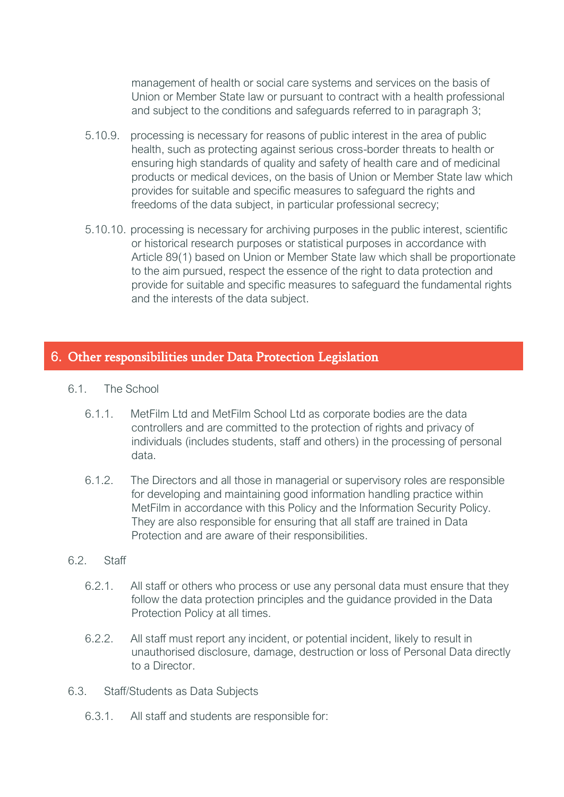management of health or social care systems and services on the basis of Union or Member State law or pursuant to contract with a health professional and subject to the conditions and safeguards referred to in paragraph 3;

- 5.10.9. processing is necessary for reasons of public interest in the area of public health, such as protecting against serious cross-border threats to health or ensuring high standards of quality and safety of health care and of medicinal products or medical devices, on the basis of Union or Member State law which provides for suitable and specific measures to safeguard the rights and freedoms of the data subject, in particular professional secrecy;
- 5.10.10. processing is necessary for archiving purposes in the public interest, scientific or historical research purposes or statistical purposes in accordance with Article 89(1) based on Union or Member State law which shall be proportionate to the aim pursued, respect the essence of the right to data protection and provide for suitable and specific measures to safeguard the fundamental rights and the interests of the data subject.

# <span id="page-8-0"></span>6. Other responsibilities under Data Protection Legislation

- 6.1. The School
	- 6.1.1. MetFilm Ltd and MetFilm School Ltd as corporate bodies are the data controllers and are committed to the protection of rights and privacy of individuals (includes students, staff and others) in the processing of personal data.
	- 6.1.2. The Directors and all those in managerial or supervisory roles are responsible for developing and maintaining good information handling practice within MetFilm in accordance with this Policy and the Information Security Policy. They are also responsible for ensuring that all staff are trained in Data Protection and are aware of their responsibilities.
- 6.2. Staff
	- 6.2.1. All staff or others who process or use any personal data must ensure that they follow the data protection principles and the guidance provided in the Data Protection Policy at all times.
	- 6.2.2. All staff must report any incident, or potential incident, likely to result in unauthorised disclosure, damage, destruction or loss of Personal Data directly to a Director.
- 6.3. Staff/Students as Data Subjects
	- 6.3.1. All staff and students are responsible for: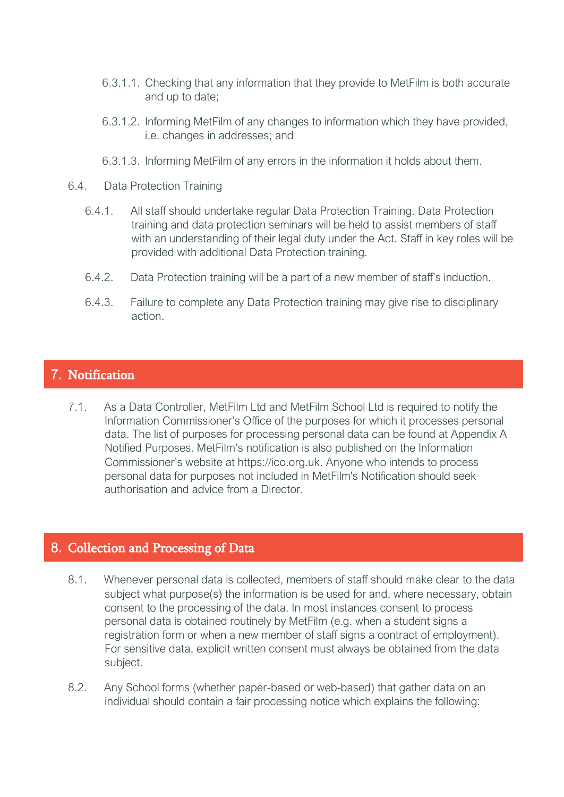- 6.3.1.1. Checking that any information that they provide to MetFilm is both accurate and up to date;
- 6.3.1.2. Informing MetFilm of any changes to information which they have provided, i.e. changes in addresses; and
- 6.3.1.3. Informing MetFilm of any errors in the information it holds about them.
- 6.4. Data Protection Training
	- 6.4.1. All staff should undertake regular Data Protection Training. Data Protection training and data protection seminars will be held to assist members of staff with an understanding of their legal duty under the Act. Staff in key roles will be provided with additional Data Protection training.
	- 6.4.2. Data Protection training will be a part of a new member of staff's induction.
	- 6.4.3. Failure to complete any Data Protection training may give rise to disciplinary action.

# <span id="page-9-0"></span>7. Notification

7.1. As a Data Controller, MetFilm Ltd and MetFilm School Ltd is required to notify the Information Commissioner's Office of the purposes for which it processes personal data. The list of purposes for processing personal data can be found at Appendix A Notified Purposes. MetFilm's notification is also published on the Information Commissioner's website at https://ico.org.uk. Anyone who intends to process personal data for purposes not included in MetFilm's Notification should seek authorisation and advice from a Director.

# <span id="page-9-1"></span>8. Collection and Processing of Data

- 8.1. Whenever personal data is collected, members of staff should make clear to the data subject what purpose(s) the information is be used for and, where necessary, obtain consent to the processing of the data. In most instances consent to process personal data is obtained routinely by MetFilm (e.g. when a student signs a registration form or when a new member of staff signs a contract of employment). For sensitive data, explicit written consent must always be obtained from the data subject.
- 8.2. Any School forms (whether paper-based or web-based) that gather data on an individual should contain a fair processing notice which explains the following: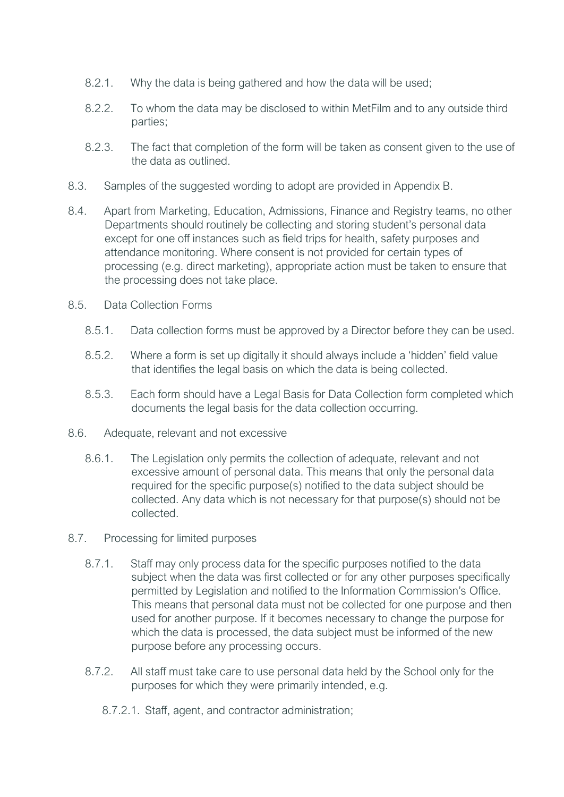- 8.2.1. Why the data is being gathered and how the data will be used;
- 8.2.2. To whom the data may be disclosed to within MetFilm and to any outside third parties;
- 8.2.3. The fact that completion of the form will be taken as consent given to the use of the data as outlined.
- 8.3. Samples of the suggested wording to adopt are provided in Appendix B.
- 8.4. Apart from Marketing, Education, Admissions, Finance and Registry teams, no other Departments should routinely be collecting and storing student's personal data except for one off instances such as field trips for health, safety purposes and attendance monitoring. Where consent is not provided for certain types of processing (e.g. direct marketing), appropriate action must be taken to ensure that the processing does not take place.
- 8.5. Data Collection Forms
	- 8.5.1. Data collection forms must be approved by a Director before they can be used.
	- 8.5.2. Where a form is set up digitally it should always include a 'hidden' field value that identifies the legal basis on which the data is being collected.
	- 8.5.3. Each form should have a Legal Basis for Data Collection form completed which documents the legal basis for the data collection occurring.
- 8.6. Adequate, relevant and not excessive
	- 8.6.1. The Legislation only permits the collection of adequate, relevant and not excessive amount of personal data. This means that only the personal data required for the specific purpose(s) notified to the data subject should be collected. Any data which is not necessary for that purpose(s) should not be collected.
- 8.7. Processing for limited purposes
	- 8.7.1. Staff may only process data for the specific purposes notified to the data subject when the data was first collected or for any other purposes specifically permitted by Legislation and notified to the Information Commission's Office. This means that personal data must not be collected for one purpose and then used for another purpose. If it becomes necessary to change the purpose for which the data is processed, the data subject must be informed of the new purpose before any processing occurs.
	- 8.7.2. All staff must take care to use personal data held by the School only for the purposes for which they were primarily intended, e.g.
		- 8.7.2.1. Staff, agent, and contractor administration;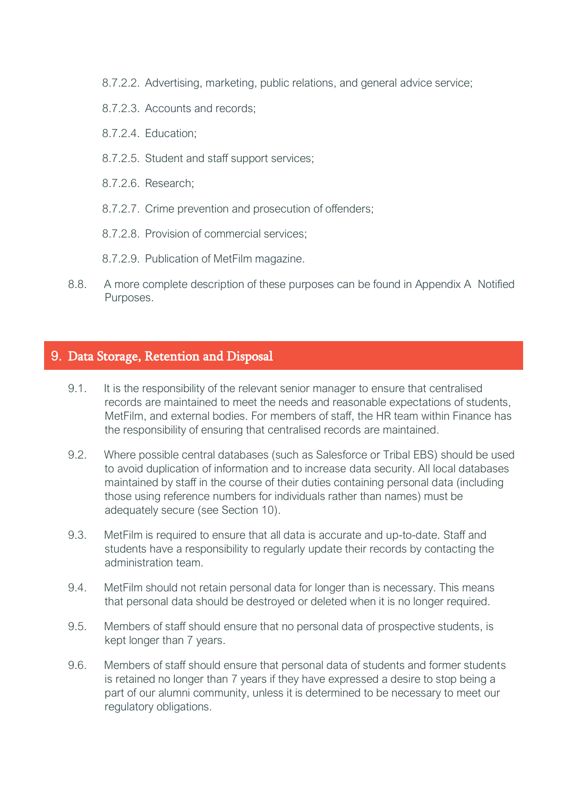- 8.7.2.2. Advertising, marketing, public relations, and general advice service;
- 8.7.2.3. Accounts and records;
- 8.7.2.4. Education;
- 8.7.2.5. Student and staff support services;
- 8.7.2.6. Research;
- 8.7.2.7. Crime prevention and prosecution of offenders;
- 8.7.2.8. Provision of commercial services;
- 8.7.2.9. Publication of MetFilm magazine.
- 8.8. A more complete description of these purposes can be found in Appendix A Notified Purposes.

# <span id="page-11-0"></span>9. Data Storage, Retention and Disposal

- 9.1. It is the responsibility of the relevant senior manager to ensure that centralised records are maintained to meet the needs and reasonable expectations of students, MetFilm, and external bodies. For members of staff, the HR team within Finance has the responsibility of ensuring that centralised records are maintained.
- 9.2. Where possible central databases (such as Salesforce or Tribal EBS) should be used to avoid duplication of information and to increase data security. All local databases maintained by staff in the course of their duties containing personal data (including those using reference numbers for individuals rather than names) must be adequately secure (see Section 10).
- 9.3. MetFilm is required to ensure that all data is accurate and up-to-date. Staff and students have a responsibility to regularly update their records by contacting the administration team.
- 9.4. MetFilm should not retain personal data for longer than is necessary. This means that personal data should be destroyed or deleted when it is no longer required.
- 9.5. Members of staff should ensure that no personal data of prospective students, is kept longer than 7 years.
- 9.6. Members of staff should ensure that personal data of students and former students is retained no longer than 7 years if they have expressed a desire to stop being a part of our alumni community, unless it is determined to be necessary to meet our regulatory obligations.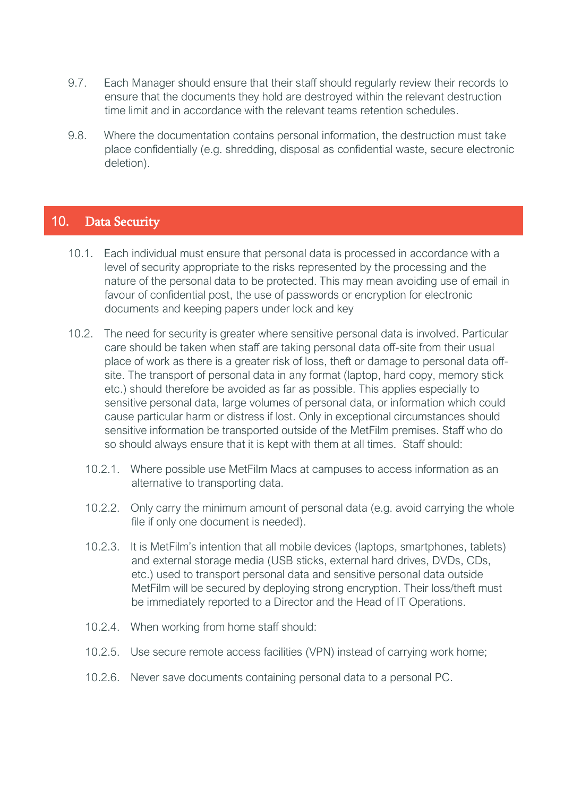- 9.7. Each Manager should ensure that their staff should regularly review their records to ensure that the documents they hold are destroyed within the relevant destruction time limit and in accordance with the relevant teams retention schedules.
- 9.8. Where the documentation contains personal information, the destruction must take place confidentially (e.g. shredding, disposal as confidential waste, secure electronic deletion).

# <span id="page-12-0"></span>10. Data Security

- 10.1. Each individual must ensure that personal data is processed in accordance with a level of security appropriate to the risks represented by the processing and the nature of the personal data to be protected. This may mean avoiding use of email in favour of confidential post, the use of passwords or encryption for electronic documents and keeping papers under lock and key
- 10.2. The need for security is greater where sensitive personal data is involved. Particular care should be taken when staff are taking personal data off-site from their usual place of work as there is a greater risk of loss, theft or damage to personal data offsite. The transport of personal data in any format (laptop, hard copy, memory stick etc.) should therefore be avoided as far as possible. This applies especially to sensitive personal data, large volumes of personal data, or information which could cause particular harm or distress if lost. Only in exceptional circumstances should sensitive information be transported outside of the MetFilm premises. Staff who do so should always ensure that it is kept with them at all times. Staff should:
	- 10.2.1. Where possible use MetFilm Macs at campuses to access information as an alternative to transporting data.
	- 10.2.2. Only carry the minimum amount of personal data (e.g. avoid carrying the whole file if only one document is needed).
	- 10.2.3. It is MetFilm's intention that all mobile devices (laptops, smartphones, tablets) and external storage media (USB sticks, external hard drives, DVDs, CDs, etc.) used to transport personal data and sensitive personal data outside MetFilm will be secured by deploying strong encryption. Their loss/theft must be immediately reported to a Director and the Head of IT Operations.
	- 10.2.4. When working from home staff should:
	- 10.2.5. Use secure remote access facilities (VPN) instead of carrying work home;
	- 10.2.6. Never save documents containing personal data to a personal PC.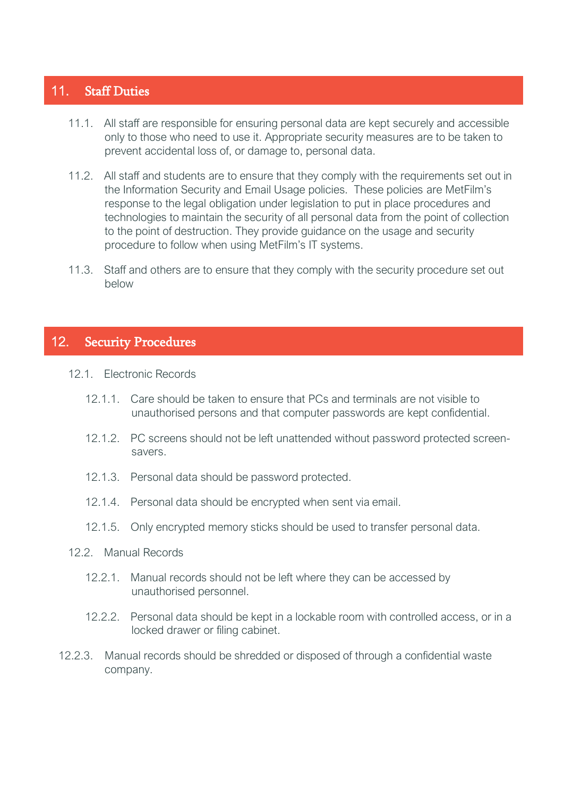# <span id="page-13-0"></span>11. Staff Duties

- 11.1. All staff are responsible for ensuring personal data are kept securely and accessible only to those who need to use it. Appropriate security measures are to be taken to prevent accidental loss of, or damage to, personal data.
- 11.2. All staff and students are to ensure that they comply with the requirements set out in the Information Security and Email Usage policies. These policies are MetFilm's response to the legal obligation under legislation to put in place procedures and technologies to maintain the security of all personal data from the point of collection to the point of destruction. They provide guidance on the usage and security procedure to follow when using MetFilm's IT systems.
- 11.3. Staff and others are to ensure that they comply with the security procedure set out below

# <span id="page-13-1"></span>12. Security Procedures

- 12.1. Electronic Records
	- 12.1.1. Care should be taken to ensure that PCs and terminals are not visible to unauthorised persons and that computer passwords are kept confidential.
	- 12.1.2. PC screens should not be left unattended without password protected screensavers.
	- 12.1.3. Personal data should be password protected.
	- 12.1.4. Personal data should be encrypted when sent via email.
	- 12.1.5. Only encrypted memory sticks should be used to transfer personal data.
- 12.2. Manual Records
	- 12.2.1. Manual records should not be left where they can be accessed by unauthorised personnel.
	- 12.2.2. Personal data should be kept in a lockable room with controlled access, or in a locked drawer or filing cabinet.
- 12.2.3. Manual records should be shredded or disposed of through a confidential waste company.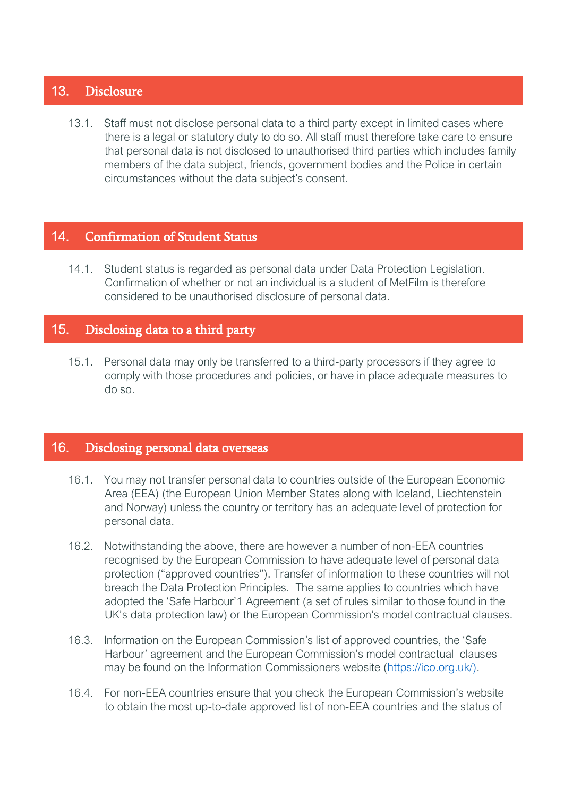# <span id="page-14-0"></span>13. Disclosure

13.1. Staff must not disclose personal data to a third party except in limited cases where there is a legal or statutory duty to do so. All staff must therefore take care to ensure that personal data is not disclosed to unauthorised third parties which includes family members of the data subject, friends, government bodies and the Police in certain circumstances without the data subject's consent.

# <span id="page-14-1"></span>14. Confirmation of Student Status

14.1. Student status is regarded as personal data under Data Protection Legislation. Confirmation of whether or not an individual is a student of MetFilm is therefore considered to be unauthorised disclosure of personal data.

# <span id="page-14-2"></span>15. Disclosing data to a third party

15.1. Personal data may only be transferred to a third-party processors if they agree to comply with those procedures and policies, or have in place adequate measures to do so.

# <span id="page-14-3"></span>16. Disclosing personal data overseas

- 16.1. You may not transfer personal data to countries outside of the European Economic Area (EEA) (the European Union Member States along with Iceland, Liechtenstein and Norway) unless the country or territory has an adequate level of protection for personal data.
- 16.2. Notwithstanding the above, there are however a number of non-EEA countries recognised by the European Commission to have adequate level of personal data protection ("approved countries"). Transfer of information to these countries will not breach the Data Protection Principles. The same applies to countries which have adopted the 'Safe Harbour'1 Agreement (a set of rules similar to those found in the UK's data protection law) or the European Commission's model contractual clauses.
- 16.3. Information on the European Commission's list of approved countries, the 'Safe Harbour' agreement and the European Commission's model contractual clauses may be found on the Information Commissioners website [\(https://ico.org.uk/\).](https://ico.org.uk/))
- 16.4. For non-EEA countries ensure that you check the European Commission's website to obtain the most up-to-date approved list of non-EEA countries and the status of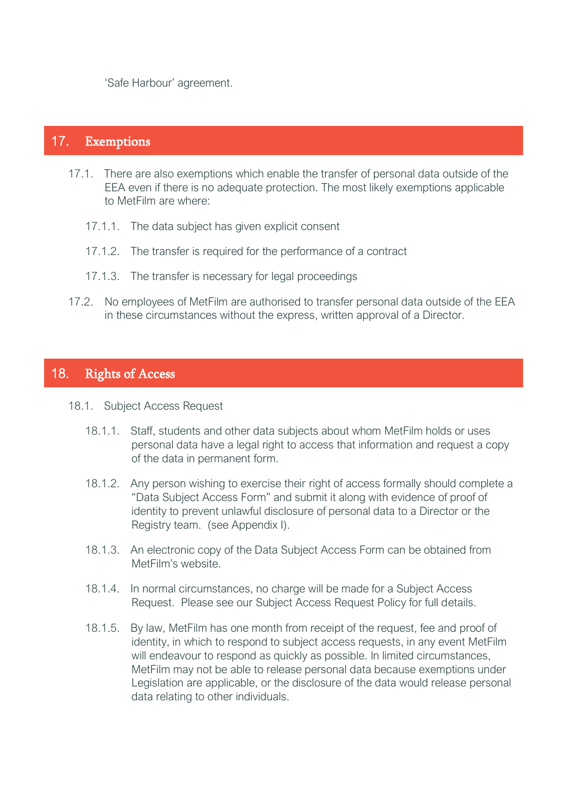'Safe Harbour' agreement.

# <span id="page-15-0"></span>17. Exemptions

- 17.1. There are also exemptions which enable the transfer of personal data outside of the EEA even if there is no adequate protection. The most likely exemptions applicable to MetFilm are where:
	- 17.1.1. The data subject has given explicit consent
	- 17.1.2. The transfer is required for the performance of a contract
	- 17.1.3. The transfer is necessary for legal proceedings
- 17.2. No employees of MetFilm are authorised to transfer personal data outside of the EEA in these circumstances without the express, written approval of a Director.

# <span id="page-15-1"></span>18. Rights of Access

#### 18.1. Subject Access Request

- 18.1.1. Staff, students and other data subjects about whom MetFilm holds or uses personal data have a legal right to access that information and request a copy of the data in permanent form.
- 18.1.2. Any person wishing to exercise their right of access formally should complete a "Data Subject Access Form" and submit it along with evidence of proof of identity to prevent unlawful disclosure of personal data to a Director or the Registry team. (see Appendix I).
- 18.1.3. An electronic copy of the Data Subject Access Form can be obtained from MetFilm's website.
- 18.1.4. In normal circumstances, no charge will be made for a Subject Access Request. Please see our Subject Access Request Policy for full details.
- 18.1.5. By law, MetFilm has one month from receipt of the request, fee and proof of identity, in which to respond to subject access requests, in any event MetFilm will endeavour to respond as quickly as possible. In limited circumstances, MetFilm may not be able to release personal data because exemptions under Legislation are applicable, or the disclosure of the data would release personal data relating to other individuals.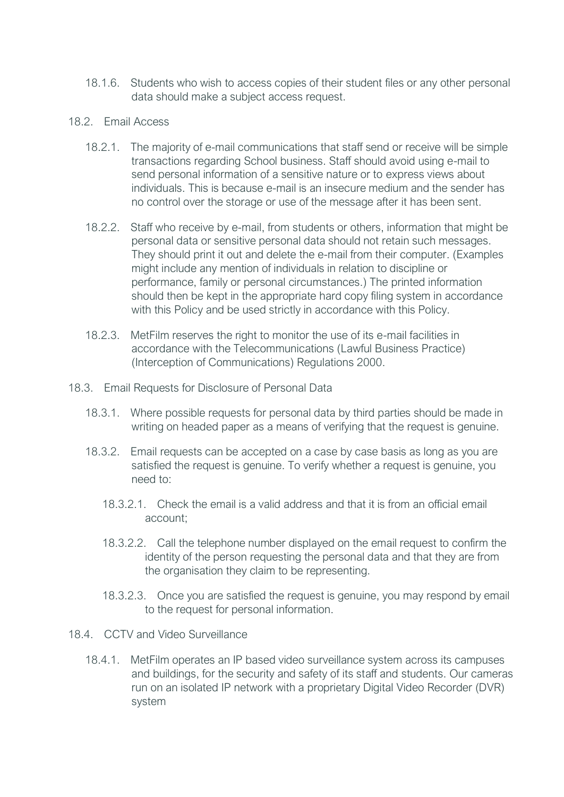- 18.1.6. Students who wish to access copies of their student files or any other personal data should make a subject access request.
- 18.2. Email Access
	- 18.2.1. The majority of e-mail communications that staff send or receive will be simple transactions regarding School business. Staff should avoid using e-mail to send personal information of a sensitive nature or to express views about individuals. This is because e-mail is an insecure medium and the sender has no control over the storage or use of the message after it has been sent.
	- 18.2.2. Staff who receive by e-mail, from students or others, information that might be personal data or sensitive personal data should not retain such messages. They should print it out and delete the e-mail from their computer. (Examples might include any mention of individuals in relation to discipline or performance, family or personal circumstances.) The printed information should then be kept in the appropriate hard copy filing system in accordance with this Policy and be used strictly in accordance with this Policy.
	- 18.2.3. MetFilm reserves the right to monitor the use of its e-mail facilities in accordance with the Telecommunications (Lawful Business Practice) (Interception of Communications) Regulations 2000.
- 18.3. Email Requests for Disclosure of Personal Data
	- 18.3.1. Where possible requests for personal data by third parties should be made in writing on headed paper as a means of verifying that the request is genuine.
	- 18.3.2. Email requests can be accepted on a case by case basis as long as you are satisfied the request is genuine. To verify whether a request is genuine, you need to:
		- 18.3.2.1. Check the email is a valid address and that it is from an official email account;
		- 18.3.2.2. Call the telephone number displayed on the email request to confirm the identity of the person requesting the personal data and that they are from the organisation they claim to be representing.
		- 18.3.2.3. Once you are satisfied the request is genuine, you may respond by email to the request for personal information.
- 18.4. CCTV and Video Surveillance
	- 18.4.1. MetFilm operates an IP based video surveillance system across its campuses and buildings, for the security and safety of its staff and students. Our cameras run on an isolated IP network with a proprietary Digital Video Recorder (DVR) system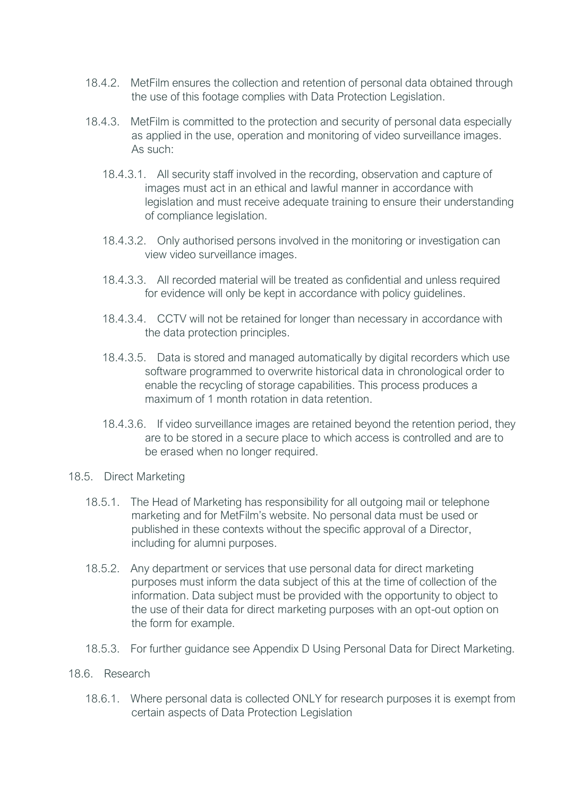- 18.4.2. MetFilm ensures the collection and retention of personal data obtained through the use of this footage complies with Data Protection Legislation.
- 18.4.3. MetFilm is committed to the protection and security of personal data especially as applied in the use, operation and monitoring of video surveillance images. As such:
	- 18.4.3.1. All security staff involved in the recording, observation and capture of images must act in an ethical and lawful manner in accordance with legislation and must receive adequate training to ensure their understanding of compliance legislation.
	- 18.4.3.2. Only authorised persons involved in the monitoring or investigation can view video surveillance images.
	- 18.4.3.3. All recorded material will be treated as confidential and unless required for evidence will only be kept in accordance with policy guidelines.
	- 18.4.3.4. CCTV will not be retained for longer than necessary in accordance with the data protection principles.
	- 18.4.3.5. Data is stored and managed automatically by digital recorders which use software programmed to overwrite historical data in chronological order to enable the recycling of storage capabilities. This process produces a maximum of 1 month rotation in data retention.
	- 18.4.3.6. If video surveillance images are retained beyond the retention period, they are to be stored in a secure place to which access is controlled and are to be erased when no longer required.
- 18.5. Direct Marketing
	- 18.5.1. The Head of Marketing has responsibility for all outgoing mail or telephone marketing and for MetFilm's website. No personal data must be used or published in these contexts without the specific approval of a Director, including for alumni purposes.
	- 18.5.2. Any department or services that use personal data for direct marketing purposes must inform the data subject of this at the time of collection of the information. Data subject must be provided with the opportunity to object to the use of their data for direct marketing purposes with an opt-out option on the form for example.
	- 18.5.3. For further guidance see Appendix D Using Personal Data for Direct Marketing.

#### 18.6. Research

18.6.1. Where personal data is collected ONLY for research purposes it is exempt from certain aspects of Data Protection Legislation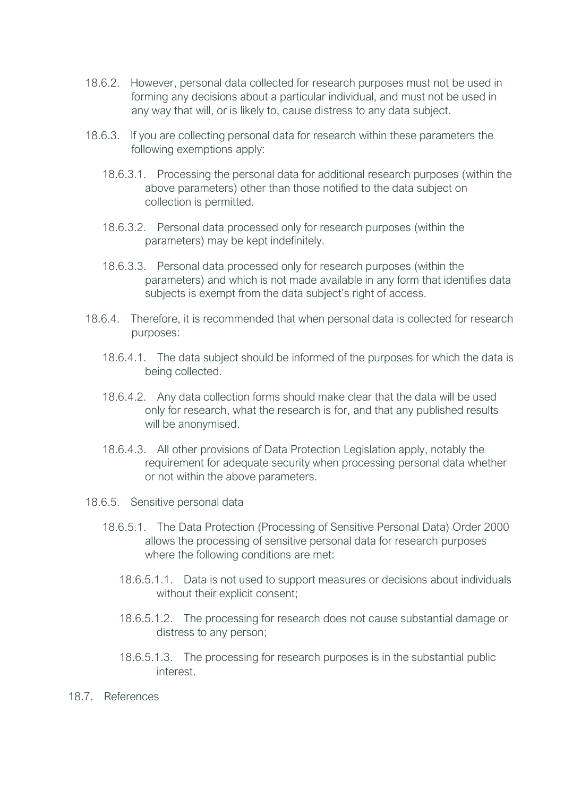- 18.6.2. However, personal data collected for research purposes must not be used in forming any decisions about a particular individual, and must not be used in any way that will, or is likely to, cause distress to any data subject.
- 18.6.3. If you are collecting personal data for research within these parameters the following exemptions apply:
	- 18.6.3.1. Processing the personal data for additional research purposes (within the above parameters) other than those notified to the data subject on collection is permitted.
	- 18.6.3.2. Personal data processed only for research purposes (within the parameters) may be kept indefinitely.
	- 18.6.3.3. Personal data processed only for research purposes (within the parameters) and which is not made available in any form that identifies data subjects is exempt from the data subject's right of access.
- 18.6.4. Therefore, it is recommended that when personal data is collected for research purposes:
	- 18.6.4.1. The data subject should be informed of the purposes for which the data is being collected.
	- 18.6.4.2. Any data collection forms should make clear that the data will be used only for research, what the research is for, and that any published results will be anonymised.
	- 18.6.4.3. All other provisions of Data Protection Legislation apply, notably the requirement for adequate security when processing personal data whether or not within the above parameters.
- 18.6.5. Sensitive personal data
	- 18.6.5.1. The Data Protection (Processing of Sensitive Personal Data) Order 2000 allows the processing of sensitive personal data for research purposes where the following conditions are met:
		- 18.6.5.1.1. Data is not used to support measures or decisions about individuals without their explicit consent;
		- 18.6.5.1.2. The processing for research does not cause substantial damage or distress to any person;
		- 18.6.5.1.3. The processing for research purposes is in the substantial public interest.
- 18.7. References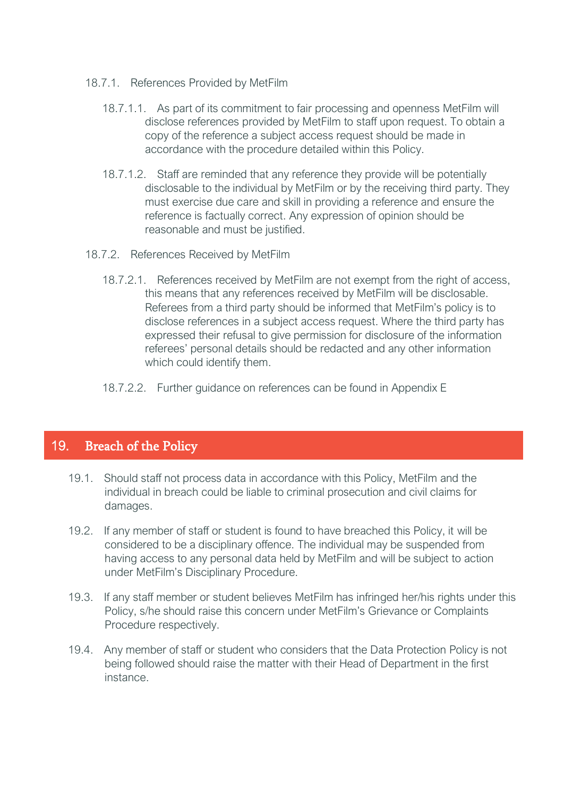- 18.7.1. References Provided by MetFilm
	- 18.7.1.1. As part of its commitment to fair processing and openness MetFilm will disclose references provided by MetFilm to staff upon request. To obtain a copy of the reference a subject access request should be made in accordance with the procedure detailed within this Policy.
	- 18.7.1.2. Staff are reminded that any reference they provide will be potentially disclosable to the individual by MetFilm or by the receiving third party. They must exercise due care and skill in providing a reference and ensure the reference is factually correct. Any expression of opinion should be reasonable and must be justified.
- 18.7.2. References Received by MetFilm
	- 18.7.2.1. References received by MetFilm are not exempt from the right of access, this means that any references received by MetFilm will be disclosable. Referees from a third party should be informed that MetFilm's policy is to disclose references in a subject access request. Where the third party has expressed their refusal to give permission for disclosure of the information referees' personal details should be redacted and any other information which could identify them.
	- 18.7.2.2. Further guidance on references can be found in Appendix E

# <span id="page-19-0"></span>19. Breach of the Policy

- 19.1. Should staff not process data in accordance with this Policy, MetFilm and the individual in breach could be liable to criminal prosecution and civil claims for damages.
- 19.2. If any member of staff or student is found to have breached this Policy, it will be considered to be a disciplinary offence. The individual may be suspended from having access to any personal data held by MetFilm and will be subject to action under MetFilm's Disciplinary Procedure.
- 19.3. If any staff member or student believes MetFilm has infringed her/his rights under this Policy, s/he should raise this concern under MetFilm's Grievance or Complaints Procedure respectively.
- 19.4. Any member of staff or student who considers that the Data Protection Policy is not being followed should raise the matter with their Head of Department in the first instance.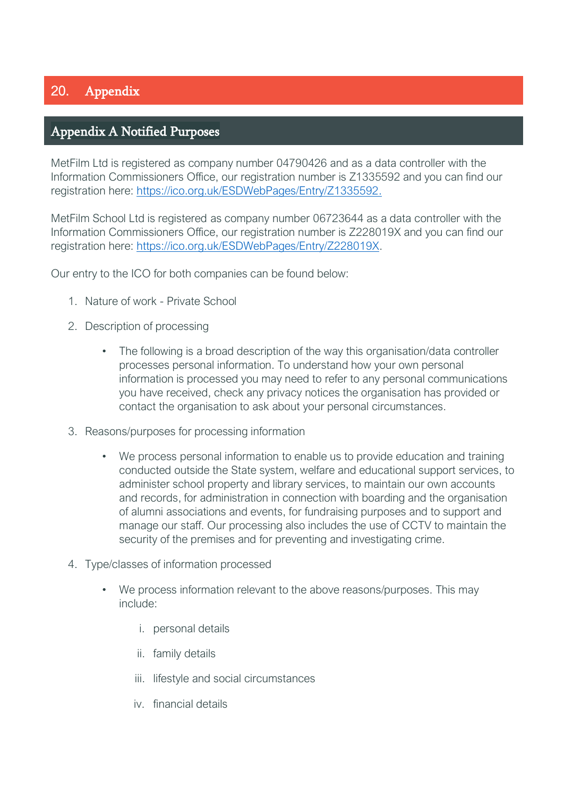# <span id="page-20-0"></span>20. Appendix

# <span id="page-20-1"></span>Appendix A Notified Purposes

MetFilm Ltd is registered as company number 04790426 and as a data controller with the Information Commissioners Office, our registration number is Z1335592 and you can find our registration here: [https://ico.org.uk/ESDWebPages/Entry/Z1335592.](https://ico.org.uk/ESDWebPages/Entry/Z1335592)

MetFilm School Ltd is registered as company number 06723644 as a data controller with the Information Commissioners Office, our registration number is Z228019X and you can find our registration here: [https://ico.org.uk/ESDWebPages/Entry/Z228019X.](https://ico.org.uk/ESDWebPages/Entry/Z228019X)

Our entry to the ICO for both companies can be found below:

- 1. Nature of work Private School
- 2. Description of processing
	- The following is a broad description of the way this organisation/data controller processes personal information. To understand how your own personal information is processed you may need to refer to any personal communications you have received, check any privacy notices the organisation has provided or contact the organisation to ask about your personal circumstances.
- 3. Reasons/purposes for processing information
	- We process personal information to enable us to provide education and training conducted outside the State system, welfare and educational support services, to administer school property and library services, to maintain our own accounts and records, for administration in connection with boarding and the organisation of alumni associations and events, for fundraising purposes and to support and manage our staff. Our processing also includes the use of CCTV to maintain the security of the premises and for preventing and investigating crime.
- 4. Type/classes of information processed
	- We process information relevant to the above reasons/purposes. This may include:
		- i. personal details
		- ii. family details
		- iii. lifestyle and social circumstances
		- iv. financial details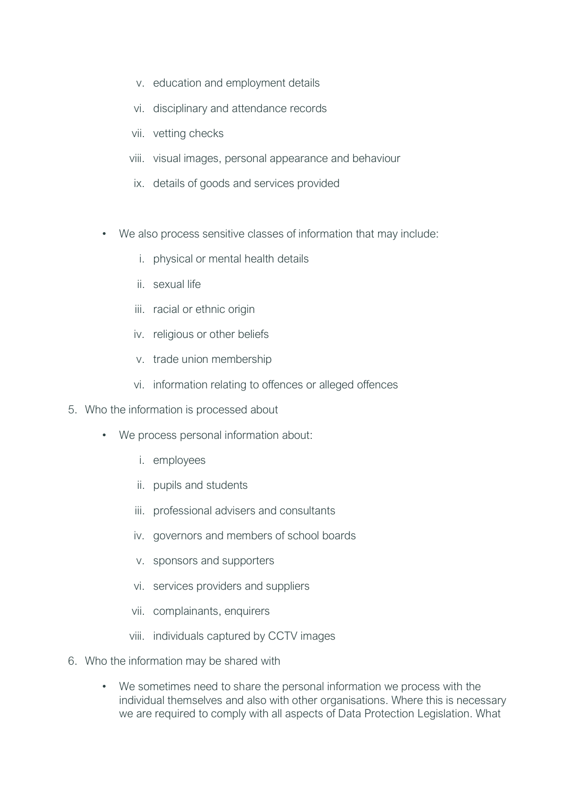- v. education and employment details
- vi. disciplinary and attendance records
- vii. vetting checks
- viii. visual images, personal appearance and behaviour
- ix. details of goods and services provided
- We also process sensitive classes of information that may include:
	- i. physical or mental health details
	- ii. sexual life
	- iii. racial or ethnic origin
	- iv. religious or other beliefs
	- v. trade union membership
	- vi. information relating to offences or alleged offences
- 5. Who the information is processed about
	- We process personal information about:
		- i. employees
		- ii. pupils and students
		- iii. professional advisers and consultants
		- iv. governors and members of school boards
		- v. sponsors and supporters
		- vi. services providers and suppliers
		- vii. complainants, enquirers
		- viii. individuals captured by CCTV images
- 6. Who the information may be shared with
	- We sometimes need to share the personal information we process with the individual themselves and also with other organisations. Where this is necessary we are required to comply with all aspects of Data Protection Legislation. What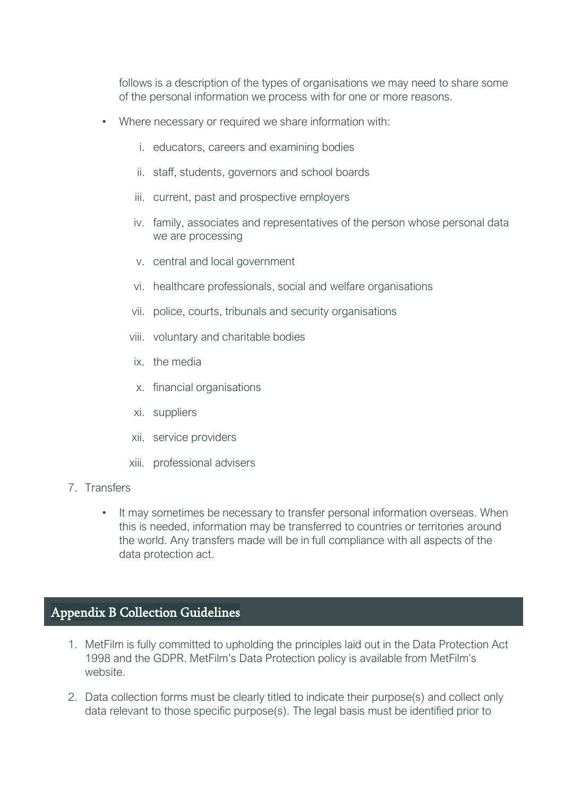follows is a description of the types of organisations we may need to share some of the personal information we process with for one or more reasons.

- Where necessary or required we share information with:
	- i. educators, careers and examining bodies
	- ii. staff, students, governors and school boards
	- iii. current, past and prospective employers
	- iv. family, associates and representatives of the person whose personal data we are processing
	- v. central and local government
	- vi. healthcare professionals, social and welfare organisations
	- vii. police, courts, tribunals and security organisations
	- viii. voluntary and charitable bodies
	- ix. the media
	- x. financial organisations
	- xi. suppliers
	- xii. service providers
	- xiii. professional advisers
- 7. Transfers
	- It may sometimes be necessary to transfer personal information overseas. When this is needed, information may be transferred to countries or territories around the world. Any transfers made will be in full compliance with all aspects of the data protection act.

# <span id="page-22-0"></span>Appendix B Collection Guidelines

- 1. MetFilm is fully committed to upholding the principles laid out in the Data Protection Act 1998 and the GDPR. MetFilm's Data Protection policy is available from MetFilm's website.
- 2. Data collection forms must be clearly titled to indicate their purpose(s) and collect only data relevant to those specific purpose(s). The legal basis must be identified prior to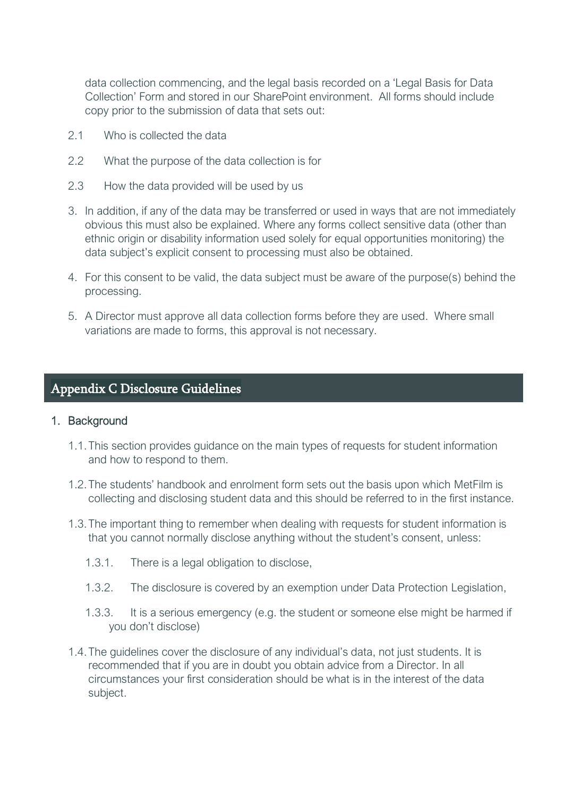data collection commencing, and the legal basis recorded on a 'Legal Basis for Data Collection' Form and stored in our SharePoint environment. All forms should include copy prior to the submission of data that sets out:

- 2.1 Who is collected the data
- 2.2 What the purpose of the data collection is for
- 2.3 How the data provided will be used by us
- 3. In addition, if any of the data may be transferred or used in ways that are not immediately obvious this must also be explained. Where any forms collect sensitive data (other than ethnic origin or disability information used solely for equal opportunities monitoring) the data subject's explicit consent to processing must also be obtained.
- 4. For this consent to be valid, the data subject must be aware of the purpose(s) behind the processing.
- 5. A Director must approve all data collection forms before they are used. Where small variations are made to forms, this approval is not necessary.

# <span id="page-23-0"></span>Appendix C Disclosure Guidelines

#### 1. Background

- 1.1.This section provides guidance on the main types of requests for student information and how to respond to them.
- 1.2.The students' handbook and enrolment form sets out the basis upon which MetFilm is collecting and disclosing student data and this should be referred to in the first instance.
- 1.3.The important thing to remember when dealing with requests for student information is that you cannot normally disclose anything without the student's consent, unless:
	- 1.3.1. There is a legal obligation to disclose,
	- 1.3.2. The disclosure is covered by an exemption under Data Protection Legislation,
	- 1.3.3. It is a serious emergency (e.g. the student or someone else might be harmed if you don't disclose)
- 1.4.The guidelines cover the disclosure of any individual's data, not just students. It is recommended that if you are in doubt you obtain advice from a Director. In all circumstances your first consideration should be what is in the interest of the data subject.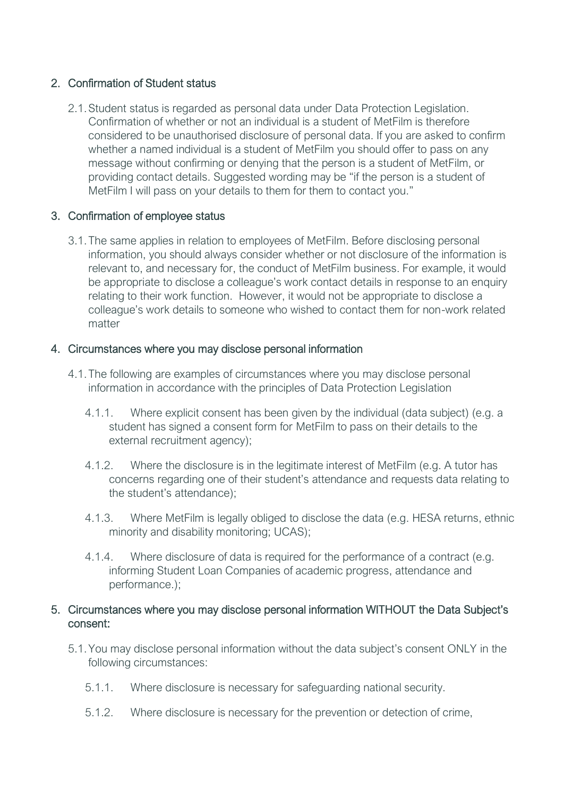# 2. Confirmation of Student status

2.1.Student status is regarded as personal data under Data Protection Legislation. Confirmation of whether or not an individual is a student of MetFilm is therefore considered to be unauthorised disclosure of personal data. If you are asked to confirm whether a named individual is a student of MetFilm you should offer to pass on any message without confirming or denying that the person is a student of MetFilm, or providing contact details. Suggested wording may be "if the person is a student of MetFilm I will pass on your details to them for them to contact you."

# 3. Confirmation of employee status

3.1.The same applies in relation to employees of MetFilm. Before disclosing personal information, you should always consider whether or not disclosure of the information is relevant to, and necessary for, the conduct of MetFilm business. For example, it would be appropriate to disclose a colleague's work contact details in response to an enquiry relating to their work function. However, it would not be appropriate to disclose a colleague's work details to someone who wished to contact them for non-work related matter

# 4. Circumstances where you may disclose personal information

- 4.1.The following are examples of circumstances where you may disclose personal information in accordance with the principles of Data Protection Legislation
	- 4.1.1. Where explicit consent has been given by the individual (data subject) (e.g. a student has signed a consent form for MetFilm to pass on their details to the external recruitment agency);
	- 4.1.2. Where the disclosure is in the legitimate interest of MetFilm (e.g. A tutor has concerns regarding one of their student's attendance and requests data relating to the student's attendance);
	- 4.1.3. Where MetFilm is legally obliged to disclose the data (e.g. HESA returns, ethnic minority and disability monitoring; UCAS);
	- 4.1.4. Where disclosure of data is required for the performance of a contract (e.g. informing Student Loan Companies of academic progress, attendance and performance.);

# 5. Circumstances where you may disclose personal information WITHOUT the Data Subject's consent:

- 5.1.You may disclose personal information without the data subject's consent ONLY in the following circumstances:
	- 5.1.1. Where disclosure is necessary for safeguarding national security.
	- 5.1.2. Where disclosure is necessary for the prevention or detection of crime,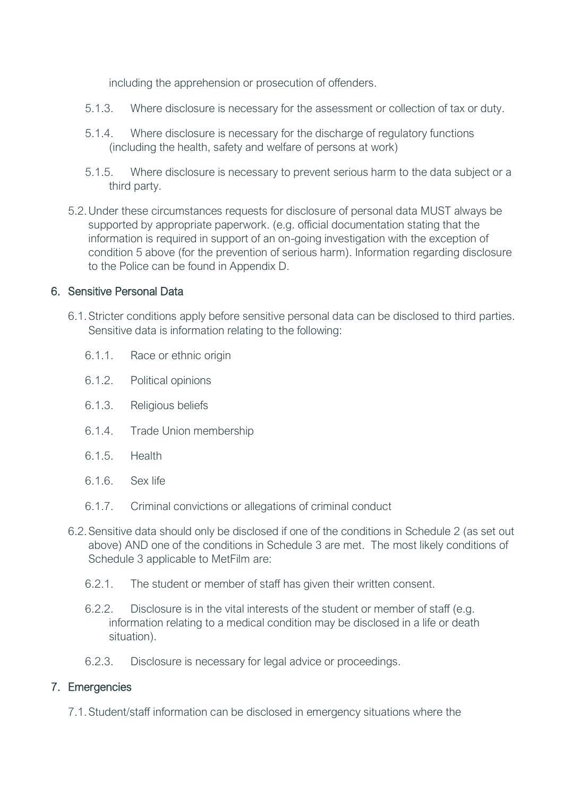including the apprehension or prosecution of offenders.

- 5.1.3. Where disclosure is necessary for the assessment or collection of tax or duty.
- 5.1.4. Where disclosure is necessary for the discharge of regulatory functions (including the health, safety and welfare of persons at work)
- 5.1.5. Where disclosure is necessary to prevent serious harm to the data subject or a third party.
- 5.2.Under these circumstances requests for disclosure of personal data MUST always be supported by appropriate paperwork. (e.g. official documentation stating that the information is required in support of an on-going investigation with the exception of condition 5 above (for the prevention of serious harm). Information regarding disclosure to the Police can be found in Appendix D.

### 6. Sensitive Personal Data

- 6.1.Stricter conditions apply before sensitive personal data can be disclosed to third parties. Sensitive data is information relating to the following:
	- 6.1.1. Race or ethnic origin
	- 6.1.2. Political opinions
	- 6.1.3. Religious beliefs
	- 6.1.4. Trade Union membership
	- 6.1.5. Health
	- 6.1.6. Sex life
	- 6.1.7. Criminal convictions or allegations of criminal conduct
- 6.2.Sensitive data should only be disclosed if one of the conditions in Schedule 2 (as set out above) AND one of the conditions in Schedule 3 are met. The most likely conditions of Schedule 3 applicable to MetFilm are:
	- 6.2.1. The student or member of staff has given their written consent.
	- 6.2.2. Disclosure is in the vital interests of the student or member of staff (e.g. information relating to a medical condition may be disclosed in a life or death situation).
	- 6.2.3. Disclosure is necessary for legal advice or proceedings.

# 7. Emergencies

7.1.Student/staff information can be disclosed in emergency situations where the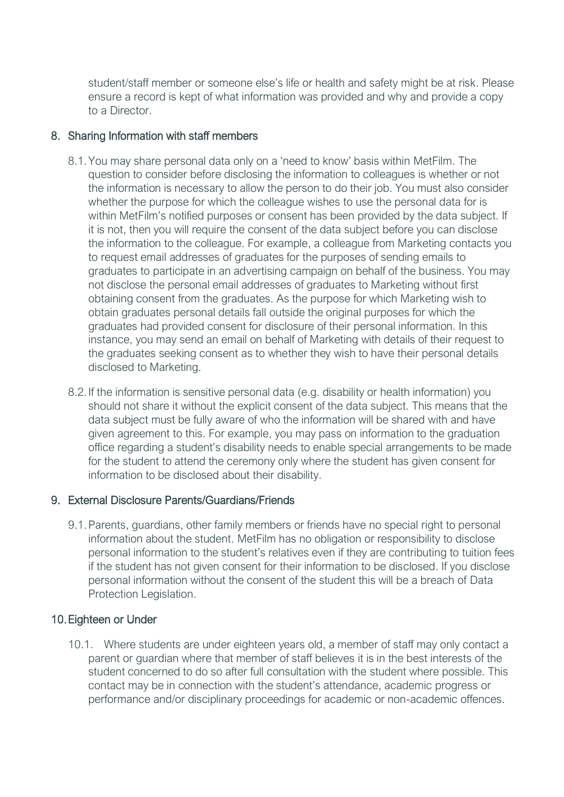student/staff member or someone else's life or health and safety might be at risk. Please ensure a record is kept of what information was provided and why and provide a copy to a Director.

# 8. Sharing Information with staff members

- 8.1.You may share personal data only on a 'need to know' basis within MetFilm. The question to consider before disclosing the information to colleagues is whether or not the information is necessary to allow the person to do their job. You must also consider whether the purpose for which the colleague wishes to use the personal data for is within MetFilm's notified purposes or consent has been provided by the data subject. If it is not, then you will require the consent of the data subject before you can disclose the information to the colleague. For example, a colleague from Marketing contacts you to request email addresses of graduates for the purposes of sending emails to graduates to participate in an advertising campaign on behalf of the business. You may not disclose the personal email addresses of graduates to Marketing without first obtaining consent from the graduates. As the purpose for which Marketing wish to obtain graduates personal details fall outside the original purposes for which the graduates had provided consent for disclosure of their personal information. In this instance, you may send an email on behalf of Marketing with details of their request to the graduates seeking consent as to whether they wish to have their personal details disclosed to Marketing.
- 8.2.If the information is sensitive personal data (e.g. disability or health information) you should not share it without the explicit consent of the data subject. This means that the data subject must be fully aware of who the information will be shared with and have given agreement to this. For example, you may pass on information to the graduation office regarding a student's disability needs to enable special arrangements to be made for the student to attend the ceremony only where the student has given consent for information to be disclosed about their disability.

# 9. External Disclosure Parents/Guardians/Friends

9.1.Parents, guardians, other family members or friends have no special right to personal information about the student. MetFilm has no obligation or responsibility to disclose personal information to the student's relatives even if they are contributing to tuition fees if the student has not given consent for their information to be disclosed. If you disclose personal information without the consent of the student this will be a breach of Data Protection Legislation.

# 10.Eighteen or Under

10.1. Where students are under eighteen years old, a member of staff may only contact a parent or guardian where that member of staff believes it is in the best interests of the student concerned to do so after full consultation with the student where possible. This contact may be in connection with the student's attendance, academic progress or performance and/or disciplinary proceedings for academic or non-academic offences.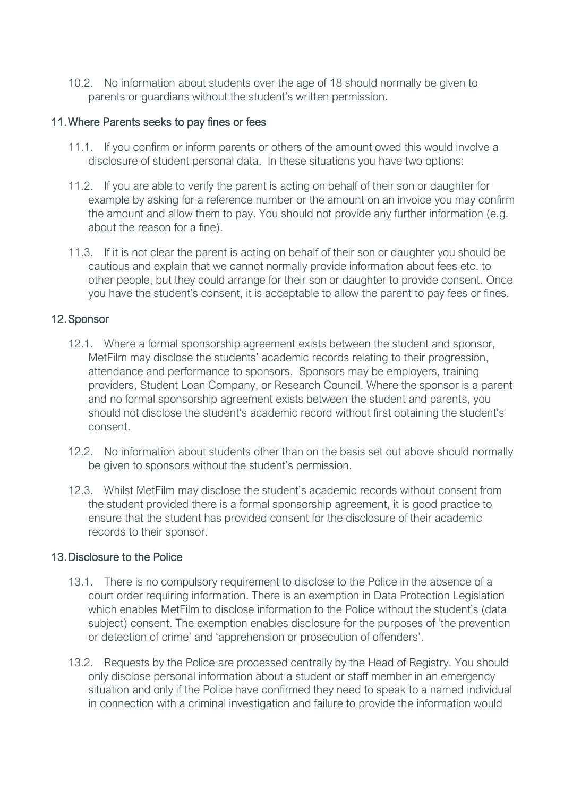10.2. No information about students over the age of 18 should normally be given to parents or guardians without the student's written permission.

#### 11.Where Parents seeks to pay fines or fees

- 11.1. If you confirm or inform parents or others of the amount owed this would involve a disclosure of student personal data. In these situations you have two options:
- 11.2. If you are able to verify the parent is acting on behalf of their son or daughter for example by asking for a reference number or the amount on an invoice you may confirm the amount and allow them to pay. You should not provide any further information (e.g. about the reason for a fine).
- 11.3. If it is not clear the parent is acting on behalf of their son or daughter you should be cautious and explain that we cannot normally provide information about fees etc. to other people, but they could arrange for their son or daughter to provide consent. Once you have the student's consent, it is acceptable to allow the parent to pay fees or fines.

# 12.Sponsor

- 12.1. Where a formal sponsorship agreement exists between the student and sponsor, MetFilm may disclose the students' academic records relating to their progression, attendance and performance to sponsors. Sponsors may be employers, training providers, Student Loan Company, or Research Council. Where the sponsor is a parent and no formal sponsorship agreement exists between the student and parents, you should not disclose the student's academic record without first obtaining the student's consent.
- 12.2. No information about students other than on the basis set out above should normally be given to sponsors without the student's permission.
- 12.3. Whilst MetFilm may disclose the student's academic records without consent from the student provided there is a formal sponsorship agreement, it is good practice to ensure that the student has provided consent for the disclosure of their academic records to their sponsor.

#### 13.Disclosure to the Police

- 13.1. There is no compulsory requirement to disclose to the Police in the absence of a court order requiring information. There is an exemption in Data Protection Legislation which enables MetFilm to disclose information to the Police without the student's (data subject) consent. The exemption enables disclosure for the purposes of 'the prevention or detection of crime' and 'apprehension or prosecution of offenders'.
- 13.2. Requests by the Police are processed centrally by the Head of Registry. You should only disclose personal information about a student or staff member in an emergency situation and only if the Police have confirmed they need to speak to a named individual in connection with a criminal investigation and failure to provide the information would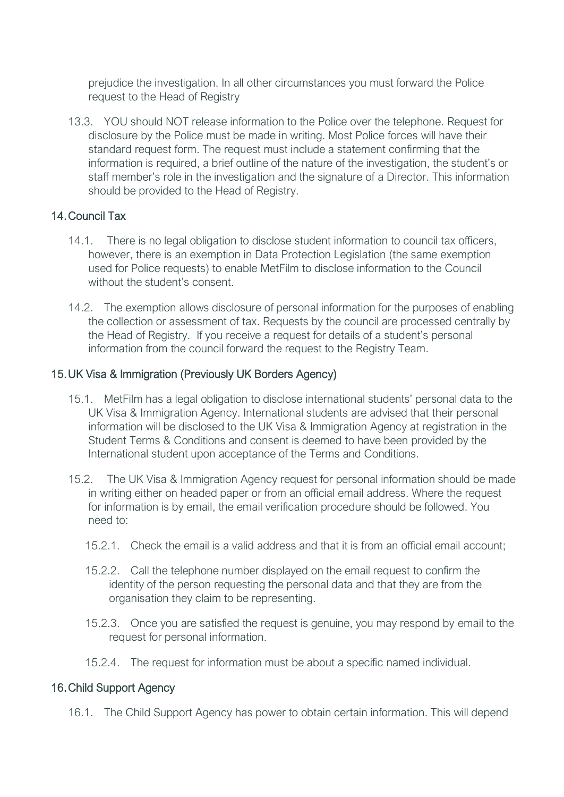prejudice the investigation. In all other circumstances you must forward the Police request to the Head of Registry

13.3. YOU should NOT release information to the Police over the telephone. Request for disclosure by the Police must be made in writing. Most Police forces will have their standard request form. The request must include a statement confirming that the information is required, a brief outline of the nature of the investigation, the student's or staff member's role in the investigation and the signature of a Director. This information should be provided to the Head of Registry.

# 14.Council Tax

- 14.1. There is no legal obligation to disclose student information to council tax officers, however, there is an exemption in Data Protection Legislation (the same exemption used for Police requests) to enable MetFilm to disclose information to the Council without the student's consent
- 14.2. The exemption allows disclosure of personal information for the purposes of enabling the collection or assessment of tax. Requests by the council are processed centrally by the Head of Registry. If you receive a request for details of a student's personal information from the council forward the request to the Registry Team.

# 15.UK Visa & Immigration (Previously UK Borders Agency)

- 15.1. MetFilm has a legal obligation to disclose international students' personal data to the UK Visa & Immigration Agency. International students are advised that their personal information will be disclosed to the UK Visa & Immigration Agency at registration in the Student Terms & Conditions and consent is deemed to have been provided by the International student upon acceptance of the Terms and Conditions.
- 15.2. The UK Visa & Immigration Agency request for personal information should be made in writing either on headed paper or from an official email address. Where the request for information is by email, the email verification procedure should be followed. You need to:
	- 15.2.1. Check the email is a valid address and that it is from an official email account;
	- 15.2.2. Call the telephone number displayed on the email request to confirm the identity of the person requesting the personal data and that they are from the organisation they claim to be representing.
	- 15.2.3. Once you are satisfied the request is genuine, you may respond by email to the request for personal information.
	- 15.2.4. The request for information must be about a specific named individual.

# 16.Child Support Agency

16.1. The Child Support Agency has power to obtain certain information. This will depend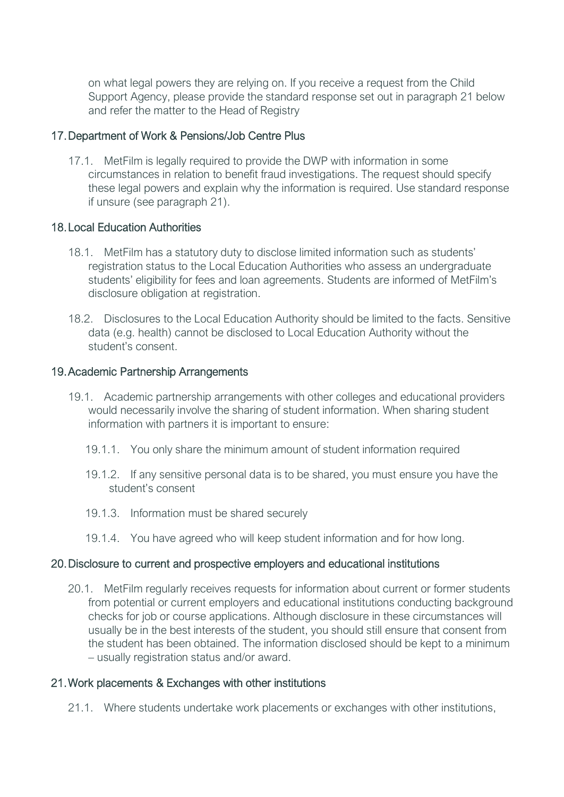on what legal powers they are relying on. If you receive a request from the Child Support Agency, please provide the standard response set out in paragraph 21 below and refer the matter to the Head of Registry

### 17.Department of Work & Pensions/Job Centre Plus

17.1. MetFilm is legally required to provide the DWP with information in some circumstances in relation to benefit fraud investigations. The request should specify these legal powers and explain why the information is required. Use standard response if unsure (see paragraph 21).

### 18.Local Education Authorities

- 18.1. MetFilm has a statutory duty to disclose limited information such as students' registration status to the Local Education Authorities who assess an undergraduate students' eligibility for fees and loan agreements. Students are informed of MetFilm's disclosure obligation at registration.
- 18.2. Disclosures to the Local Education Authority should be limited to the facts. Sensitive data (e.g. health) cannot be disclosed to Local Education Authority without the student's consent.

#### 19.Academic Partnership Arrangements

- 19.1. Academic partnership arrangements with other colleges and educational providers would necessarily involve the sharing of student information. When sharing student information with partners it is important to ensure:
	- 19.1.1. You only share the minimum amount of student information required
	- 19.1.2. If any sensitive personal data is to be shared, you must ensure you have the student's consent
	- 19.1.3. Information must be shared securely
	- 19.1.4. You have agreed who will keep student information and for how long.

# 20.Disclosure to current and prospective employers and educational institutions

20.1. MetFilm regularly receives requests for information about current or former students from potential or current employers and educational institutions conducting background checks for job or course applications. Although disclosure in these circumstances will usually be in the best interests of the student, you should still ensure that consent from the student has been obtained. The information disclosed should be kept to a minimum – usually registration status and/or award.

# 21.Work placements & Exchanges with other institutions

21.1. Where students undertake work placements or exchanges with other institutions,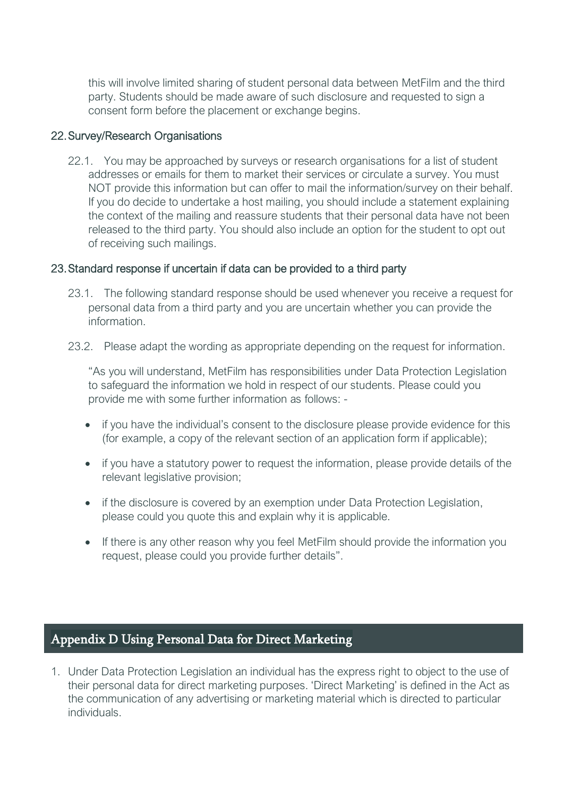this will involve limited sharing of student personal data between MetFilm and the third party. Students should be made aware of such disclosure and requested to sign a consent form before the placement or exchange begins.

### 22.Survey/Research Organisations

22.1. You may be approached by surveys or research organisations for a list of student addresses or emails for them to market their services or circulate a survey. You must NOT provide this information but can offer to mail the information/survey on their behalf. If you do decide to undertake a host mailing, you should include a statement explaining the context of the mailing and reassure students that their personal data have not been released to the third party. You should also include an option for the student to opt out of receiving such mailings.

### 23.Standard response if uncertain if data can be provided to a third party

- 23.1. The following standard response should be used whenever you receive a request for personal data from a third party and you are uncertain whether you can provide the information.
- 23.2. Please adapt the wording as appropriate depending on the request for information.

"As you will understand, MetFilm has responsibilities under Data Protection Legislation to safeguard the information we hold in respect of our students. Please could you provide me with some further information as follows: -

- if you have the individual's consent to the disclosure please provide evidence for this (for example, a copy of the relevant section of an application form if applicable);
- if you have a statutory power to request the information, please provide details of the relevant legislative provision;
- if the disclosure is covered by an exemption under Data Protection Legislation, please could you quote this and explain why it is applicable.
- If there is any other reason why you feel MetFilm should provide the information you request, please could you provide further details".

# <span id="page-30-0"></span>Appendix D Using Personal Data for Direct Marketing

1. Under Data Protection Legislation an individual has the express right to object to the use of their personal data for direct marketing purposes. 'Direct Marketing' is defined in the Act as the communication of any advertising or marketing material which is directed to particular individuals.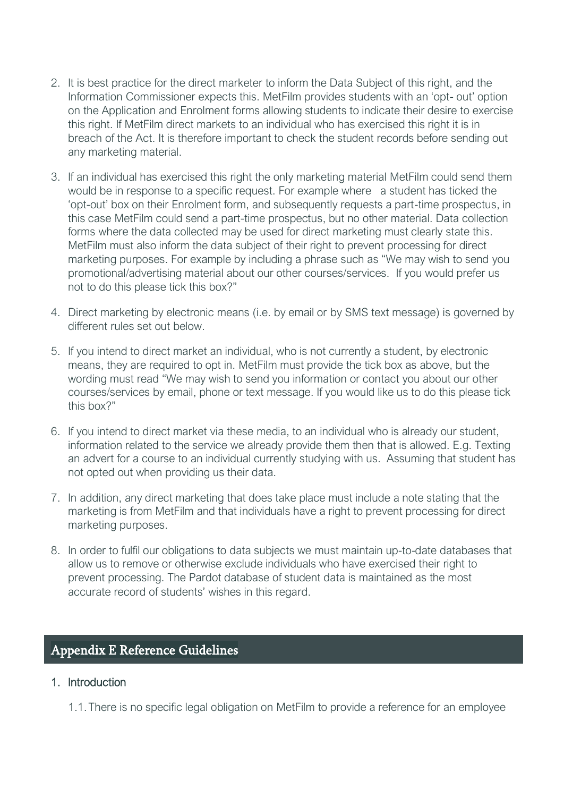- 2. It is best practice for the direct marketer to inform the Data Subject of this right, and the Information Commissioner expects this. MetFilm provides students with an 'opt- out' option on the Application and Enrolment forms allowing students to indicate their desire to exercise this right. If MetFilm direct markets to an individual who has exercised this right it is in breach of the Act. It is therefore important to check the student records before sending out any marketing material.
- 3. If an individual has exercised this right the only marketing material MetFilm could send them would be in response to a specific request. For example where a student has ticked the 'opt-out' box on their Enrolment form, and subsequently requests a part-time prospectus, in this case MetFilm could send a part-time prospectus, but no other material. Data collection forms where the data collected may be used for direct marketing must clearly state this. MetFilm must also inform the data subject of their right to prevent processing for direct marketing purposes. For example by including a phrase such as "We may wish to send you promotional/advertising material about our other courses/services. If you would prefer us not to do this please tick this box?"
- 4. Direct marketing by electronic means (i.e. by email or by SMS text message) is governed by different rules set out below.
- 5. If you intend to direct market an individual, who is not currently a student, by electronic means, they are required to opt in. MetFilm must provide the tick box as above, but the wording must read "We may wish to send you information or contact you about our other courses/services by email, phone or text message. If you would like us to do this please tick this box?"
- 6. If you intend to direct market via these media, to an individual who is already our student, information related to the service we already provide them then that is allowed. E.g. Texting an advert for a course to an individual currently studying with us. Assuming that student has not opted out when providing us their data.
- 7. In addition, any direct marketing that does take place must include a note stating that the marketing is from MetFilm and that individuals have a right to prevent processing for direct marketing purposes.
- 8. In order to fulfil our obligations to data subjects we must maintain up-to-date databases that allow us to remove or otherwise exclude individuals who have exercised their right to prevent processing. The Pardot database of student data is maintained as the most accurate record of students' wishes in this regard.

# <span id="page-31-0"></span>Appendix E Reference Guidelines

# 1. Introduction

1.1.There is no specific legal obligation on MetFilm to provide a reference for an employee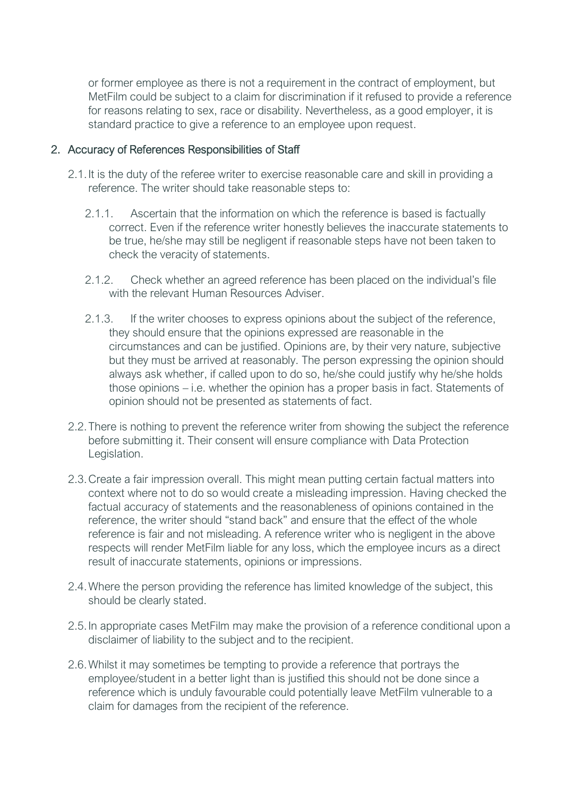or former employee as there is not a requirement in the contract of employment, but MetFilm could be subject to a claim for discrimination if it refused to provide a reference for reasons relating to sex, race or disability. Nevertheless, as a good employer, it is standard practice to give a reference to an employee upon request.

#### 2. Accuracy of References Responsibilities of Staff

- 2.1.It is the duty of the referee writer to exercise reasonable care and skill in providing a reference. The writer should take reasonable steps to:
	- 2.1.1. Ascertain that the information on which the reference is based is factually correct. Even if the reference writer honestly believes the inaccurate statements to be true, he/she may still be negligent if reasonable steps have not been taken to check the veracity of statements.
	- 2.1.2. Check whether an agreed reference has been placed on the individual's file with the relevant Human Resources Adviser
	- 2.1.3. If the writer chooses to express opinions about the subject of the reference, they should ensure that the opinions expressed are reasonable in the circumstances and can be justified. Opinions are, by their very nature, subjective but they must be arrived at reasonably. The person expressing the opinion should always ask whether, if called upon to do so, he/she could justify why he/she holds those opinions – i.e. whether the opinion has a proper basis in fact. Statements of opinion should not be presented as statements of fact.
- 2.2.There is nothing to prevent the reference writer from showing the subject the reference before submitting it. Their consent will ensure compliance with Data Protection Legislation.
- 2.3.Create a fair impression overall. This might mean putting certain factual matters into context where not to do so would create a misleading impression. Having checked the factual accuracy of statements and the reasonableness of opinions contained in the reference, the writer should "stand back" and ensure that the effect of the whole reference is fair and not misleading. A reference writer who is negligent in the above respects will render MetFilm liable for any loss, which the employee incurs as a direct result of inaccurate statements, opinions or impressions.
- 2.4.Where the person providing the reference has limited knowledge of the subject, this should be clearly stated.
- 2.5.In appropriate cases MetFilm may make the provision of a reference conditional upon a disclaimer of liability to the subject and to the recipient.
- 2.6.Whilst it may sometimes be tempting to provide a reference that portrays the employee/student in a better light than is justified this should not be done since a reference which is unduly favourable could potentially leave MetFilm vulnerable to a claim for damages from the recipient of the reference.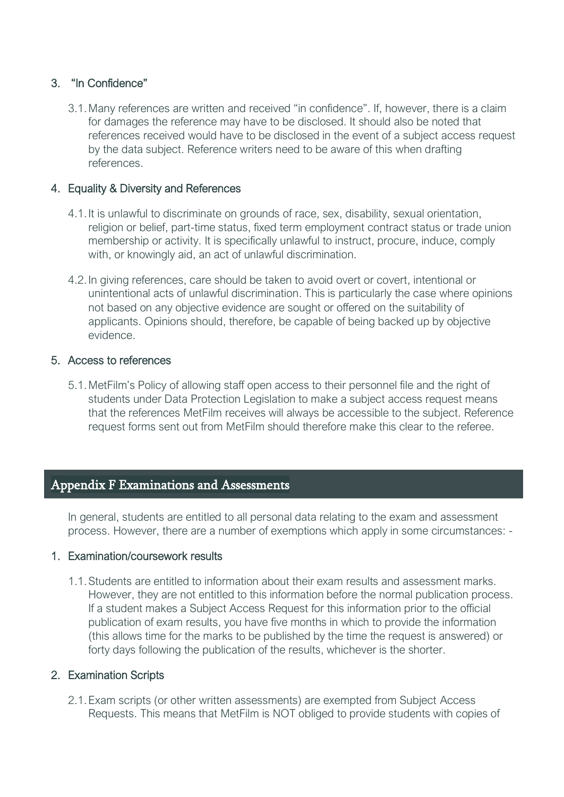# 3. "In Confidence"

3.1.Many references are written and received "in confidence". If, however, there is a claim for damages the reference may have to be disclosed. It should also be noted that references received would have to be disclosed in the event of a subject access request by the data subject. Reference writers need to be aware of this when drafting references.

# 4. Equality & Diversity and References

- 4.1.It is unlawful to discriminate on grounds of race, sex, disability, sexual orientation, religion or belief, part-time status, fixed term employment contract status or trade union membership or activity. It is specifically unlawful to instruct, procure, induce, comply with, or knowingly aid, an act of unlawful discrimination.
- 4.2.In giving references, care should be taken to avoid overt or covert, intentional or unintentional acts of unlawful discrimination. This is particularly the case where opinions not based on any objective evidence are sought or offered on the suitability of applicants. Opinions should, therefore, be capable of being backed up by objective evidence.

#### 5. Access to references

5.1.MetFilm's Policy of allowing staff open access to their personnel file and the right of students under Data Protection Legislation to make a subject access request means that the references MetFilm receives will always be accessible to the subject. Reference request forms sent out from MetFilm should therefore make this clear to the referee.

# <span id="page-33-0"></span>Appendix F Examinations and Assessments

In general, students are entitled to all personal data relating to the exam and assessment process. However, there are a number of exemptions which apply in some circumstances: -

#### 1. Examination/coursework results

1.1.Students are entitled to information about their exam results and assessment marks. However, they are not entitled to this information before the normal publication process. If a student makes a Subject Access Request for this information prior to the official publication of exam results, you have five months in which to provide the information (this allows time for the marks to be published by the time the request is answered) or forty days following the publication of the results, whichever is the shorter.

#### 2. Examination Scripts

2.1.Exam scripts (or other written assessments) are exempted from Subject Access Requests. This means that MetFilm is NOT obliged to provide students with copies of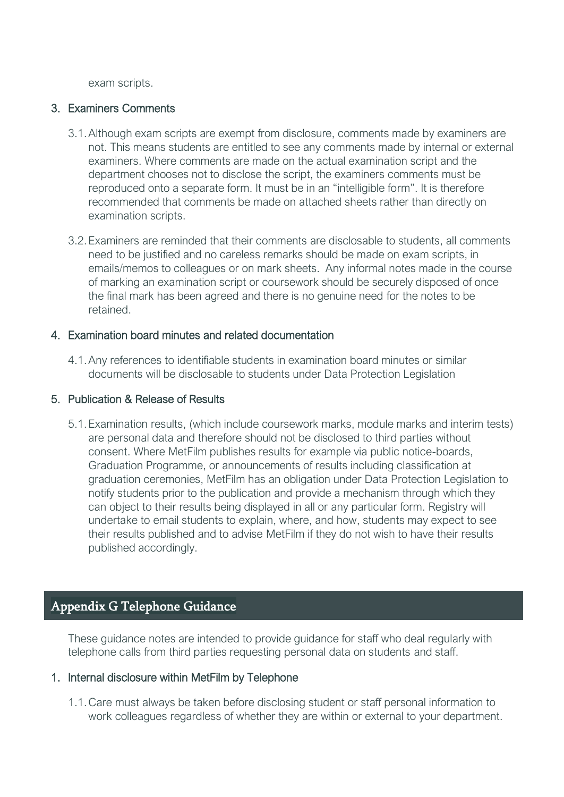exam scripts.

### 3. Examiners Comments

- 3.1.Although exam scripts are exempt from disclosure, comments made by examiners are not. This means students are entitled to see any comments made by internal or external examiners. Where comments are made on the actual examination script and the department chooses not to disclose the script, the examiners comments must be reproduced onto a separate form. It must be in an "intelligible form". It is therefore recommended that comments be made on attached sheets rather than directly on examination scripts.
- 3.2.Examiners are reminded that their comments are disclosable to students, all comments need to be justified and no careless remarks should be made on exam scripts, in emails/memos to colleagues or on mark sheets. Any informal notes made in the course of marking an examination script or coursework should be securely disposed of once the final mark has been agreed and there is no genuine need for the notes to be retained.

### 4. Examination board minutes and related documentation

4.1.Any references to identifiable students in examination board minutes or similar documents will be disclosable to students under Data Protection Legislation

### 5. Publication & Release of Results

5.1.Examination results, (which include coursework marks, module marks and interim tests) are personal data and therefore should not be disclosed to third parties without consent. Where MetFilm publishes results for example via public notice-boards, Graduation Programme, or announcements of results including classification at graduation ceremonies, MetFilm has an obligation under Data Protection Legislation to notify students prior to the publication and provide a mechanism through which they can object to their results being displayed in all or any particular form. Registry will undertake to email students to explain, where, and how, students may expect to see their results published and to advise MetFilm if they do not wish to have their results published accordingly.

# <span id="page-34-0"></span>Appendix G Telephone Guidance

These guidance notes are intended to provide guidance for staff who deal regularly with telephone calls from third parties requesting personal data on students and staff.

# 1. Internal disclosure within MetFilm by Telephone

1.1.Care must always be taken before disclosing student or staff personal information to work colleagues regardless of whether they are within or external to your department.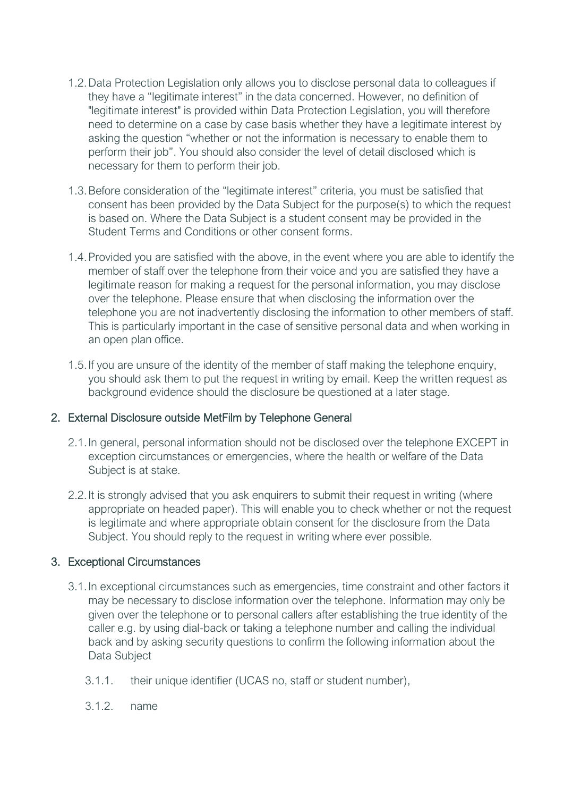- 1.2.Data Protection Legislation only allows you to disclose personal data to colleagues if they have a "legitimate interest" in the data concerned. However, no definition of "legitimate interest" is provided within Data Protection Legislation, you will therefore need to determine on a case by case basis whether they have a legitimate interest by asking the question "whether or not the information is necessary to enable them to perform their job". You should also consider the level of detail disclosed which is necessary for them to perform their job.
- 1.3.Before consideration of the "legitimate interest" criteria, you must be satisfied that consent has been provided by the Data Subject for the purpose(s) to which the request is based on. Where the Data Subject is a student consent may be provided in the Student Terms and Conditions or other consent forms.
- 1.4.Provided you are satisfied with the above, in the event where you are able to identify the member of staff over the telephone from their voice and you are satisfied they have a legitimate reason for making a request for the personal information, you may disclose over the telephone. Please ensure that when disclosing the information over the telephone you are not inadvertently disclosing the information to other members of staff. This is particularly important in the case of sensitive personal data and when working in an open plan office.
- 1.5.If you are unsure of the identity of the member of staff making the telephone enquiry, you should ask them to put the request in writing by email. Keep the written request as background evidence should the disclosure be questioned at a later stage.

# 2. External Disclosure outside MetFilm by Telephone General

- 2.1.In general, personal information should not be disclosed over the telephone EXCEPT in exception circumstances or emergencies, where the health or welfare of the Data Subject is at stake.
- 2.2.It is strongly advised that you ask enquirers to submit their request in writing (where appropriate on headed paper). This will enable you to check whether or not the request is legitimate and where appropriate obtain consent for the disclosure from the Data Subject. You should reply to the request in writing where ever possible.

# 3. Exceptional Circumstances

- 3.1.In exceptional circumstances such as emergencies, time constraint and other factors it may be necessary to disclose information over the telephone. Information may only be given over the telephone or to personal callers after establishing the true identity of the caller e.g. by using dial-back or taking a telephone number and calling the individual back and by asking security questions to confirm the following information about the Data Subject
	- 3.1.1. their unique identifier (UCAS no, staff or student number),
	- 3.1.2. name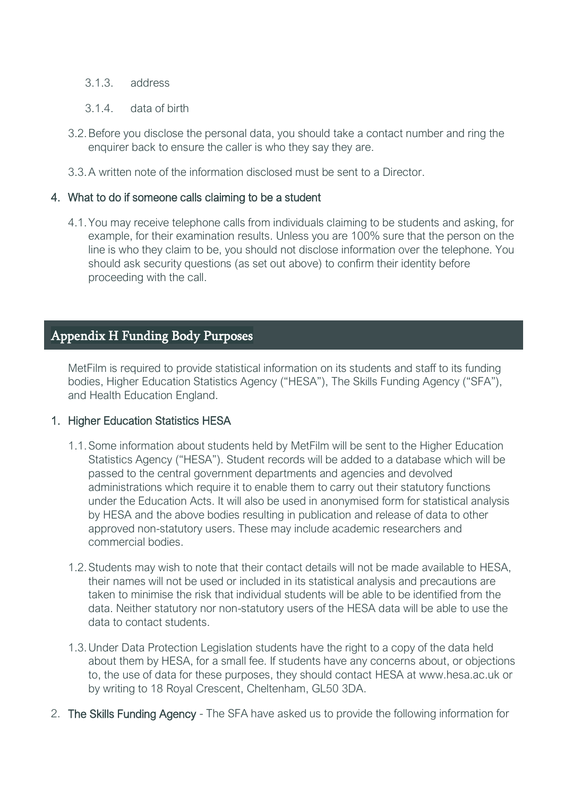### 3.1.3. address

- 3.1.4. data of birth
- 3.2.Before you disclose the personal data, you should take a contact number and ring the enquirer back to ensure the caller is who they say they are.
- 3.3.A written note of the information disclosed must be sent to a Director.

### 4. What to do if someone calls claiming to be a student

4.1.You may receive telephone calls from individuals claiming to be students and asking, for example, for their examination results. Unless you are 100% sure that the person on the line is who they claim to be, you should not disclose information over the telephone. You should ask security questions (as set out above) to confirm their identity before proceeding with the call.

# <span id="page-36-0"></span>Appendix H Funding Body Purposes

MetFilm is required to provide statistical information on its students and staff to its funding bodies, Higher Education Statistics Agency ("HESA"), The Skills Funding Agency ("SFA"), and Health Education England.

#### 1. Higher Education Statistics HESA

- 1.1.Some information about students held by MetFilm will be sent to the Higher Education Statistics Agency ("HESA"). Student records will be added to a database which will be passed to the central government departments and agencies and devolved administrations which require it to enable them to carry out their statutory functions under the Education Acts. It will also be used in anonymised form for statistical analysis by HESA and the above bodies resulting in publication and release of data to other approved non-statutory users. These may include academic researchers and commercial bodies.
- 1.2.Students may wish to note that their contact details will not be made available to HESA, their names will not be used or included in its statistical analysis and precautions are taken to minimise the risk that individual students will be able to be identified from the data. Neither statutory nor non-statutory users of the HESA data will be able to use the data to contact students.
- 1.3.Under Data Protection Legislation students have the right to a copy of the data held about them by HESA, for a small fee. If students have any concerns about, or objections to, the use of data for these purposes, they should contact HESA at www.hesa.ac.uk or by writing to 18 Royal Crescent, Cheltenham, GL50 3DA.
- 2. The Skills Funding Agency The SFA have asked us to provide the following information for